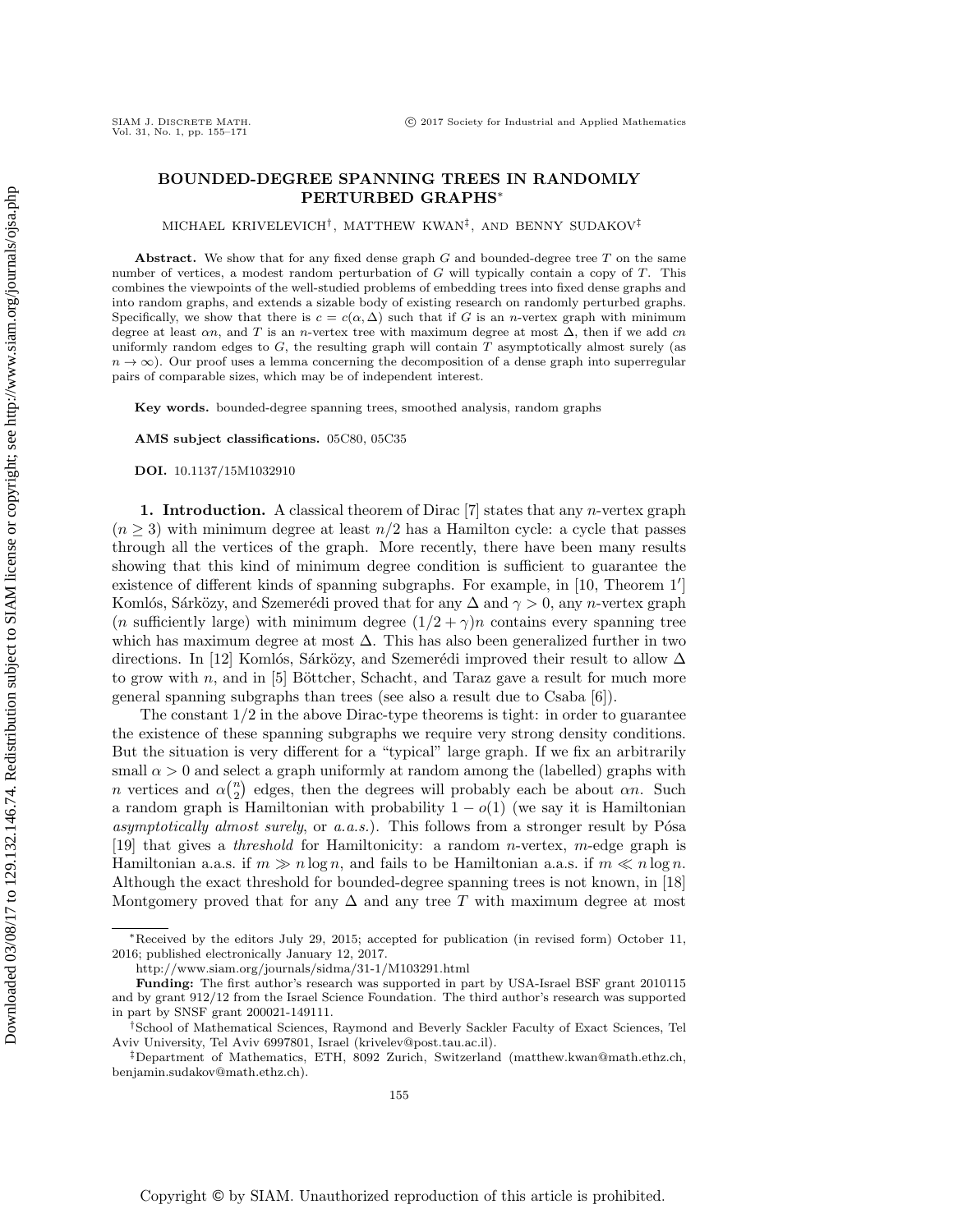## BOUNDED-DEGREE SPANNING TREES IN RANDOMLY PERTURBED GRAPHS<sup>∗</sup>

MICHAEL KRIVELEVICH† , MATTHEW KWAN‡ , AND BENNY SUDAKOV‡

Abstract. We show that for any fixed dense graph  $G$  and bounded-degree tree  $T$  on the same number of vertices, a modest random perturbation of G will typically contain a copy of T. This combines the viewpoints of the well-studied problems of embedding trees into fixed dense graphs and into random graphs, and extends a sizable body of existing research on randomly perturbed graphs. Specifically, we show that there is  $c = c(\alpha, \Delta)$  such that if G is an *n*-vertex graph with minimum degree at least  $\alpha n$ , and T is an n-vertex tree with maximum degree at most  $\Delta$ , then if we add cn uniformly random edges to  $G$ , the resulting graph will contain  $T$  asymptotically almost surely (as  $n \to \infty$ ). Our proof uses a lemma concerning the decomposition of a dense graph into superregular pairs of comparable sizes, which may be of independent interest.

Key words. bounded-degree spanning trees, smoothed analysis, random graphs

AMS subject classifications. 05C80, 05C35

DOI. 10.1137/15M1032910

1. Introduction. A classical theorem of Dirac  $[7]$  states that any *n*-vertex graph  $(n \geq 3)$  with minimum degree at least  $n/2$  has a Hamilton cycle: a cycle that passes through all the vertices of the graph. More recently, there have been many results showing that this kind of minimum degree condition is sufficient to guarantee the existence of different kinds of spanning subgraphs. For example, in  $[10,$  Theorem  $1']$ Komlós, Sárközy, and Szemerédi proved that for any  $\Delta$  and  $\gamma > 0$ , any n-vertex graph (*n* sufficiently large) with minimum degree  $(1/2 + \gamma)n$  contains every spanning tree which has maximum degree at most  $\Delta$ . This has also been generalized further in two directions. In [\[12\]](#page-16-2) Komlós, Sárközy, and Szemerédi improved their result to allow  $\Delta$ to grow with  $n$ , and in [\[5\]](#page-16-3) Böttcher, Schacht, and Taraz gave a result for much more general spanning subgraphs than trees (see also a result due to Csaba [\[6\]](#page-16-4)).

The constant  $1/2$  in the above Dirac-type theorems is tight: in order to guarantee the existence of these spanning subgraphs we require very strong density conditions. But the situation is very different for a "typical" large graph. If we fix an arbitrarily small  $\alpha > 0$  and select a graph uniformly at random among the (labelled) graphs with n vertices and  $\alpha \binom{n}{2}$  edges, then the degrees will probably each be about  $\alpha n$ . Such a random graph is Hamiltonian with probability  $1 - o(1)$  (we say it is Hamiltonian asymptotically almost surely, or  $a.a.s.$ ). This follows from a stronger result by Pósa [\[19\]](#page-16-5) that gives a *threshold* for Hamiltonicity: a random *n*-vertex, *m*-edge graph is Hamiltonian a.a.s. if  $m \gg n \log n$ , and fails to be Hamiltonian a.a.s. if  $m \ll n \log n$ . Although the exact threshold for bounded-degree spanning trees is not known, in [\[18\]](#page-16-6) Montgomery proved that for any  $\Delta$  and any tree T with maximum degree at most

<sup>∗</sup>Received by the editors July 29, 2015; accepted for publication (in revised form) October 11, 2016; published electronically January 12, 2017.

<http://www.siam.org/journals/sidma/31-1/M103291.html>

Funding: The first author's research was supported in part by USA-Israel BSF grant 2010115 and by grant 912/12 from the Israel Science Foundation. The third author's research was supported in part by SNSF grant 200021-149111.

<sup>†</sup>School of Mathematical Sciences, Raymond and Beverly Sackler Faculty of Exact Sciences, Tel Aviv University, Tel Aviv 6997801, Israel [\(krivelev@post.tau.ac.il\)](mailto:krivelev@post.tau.ac.il).

<sup>‡</sup>Department of Mathematics, ETH, 8092 Zurich, Switzerland [\(matthew.kwan@math.ethz.ch,](mailto:matthew.kwan@math.ethz.ch) [benjamin.sudakov@math.ethz.ch\)](mailto:benjamin.sudakov@math.ethz.ch).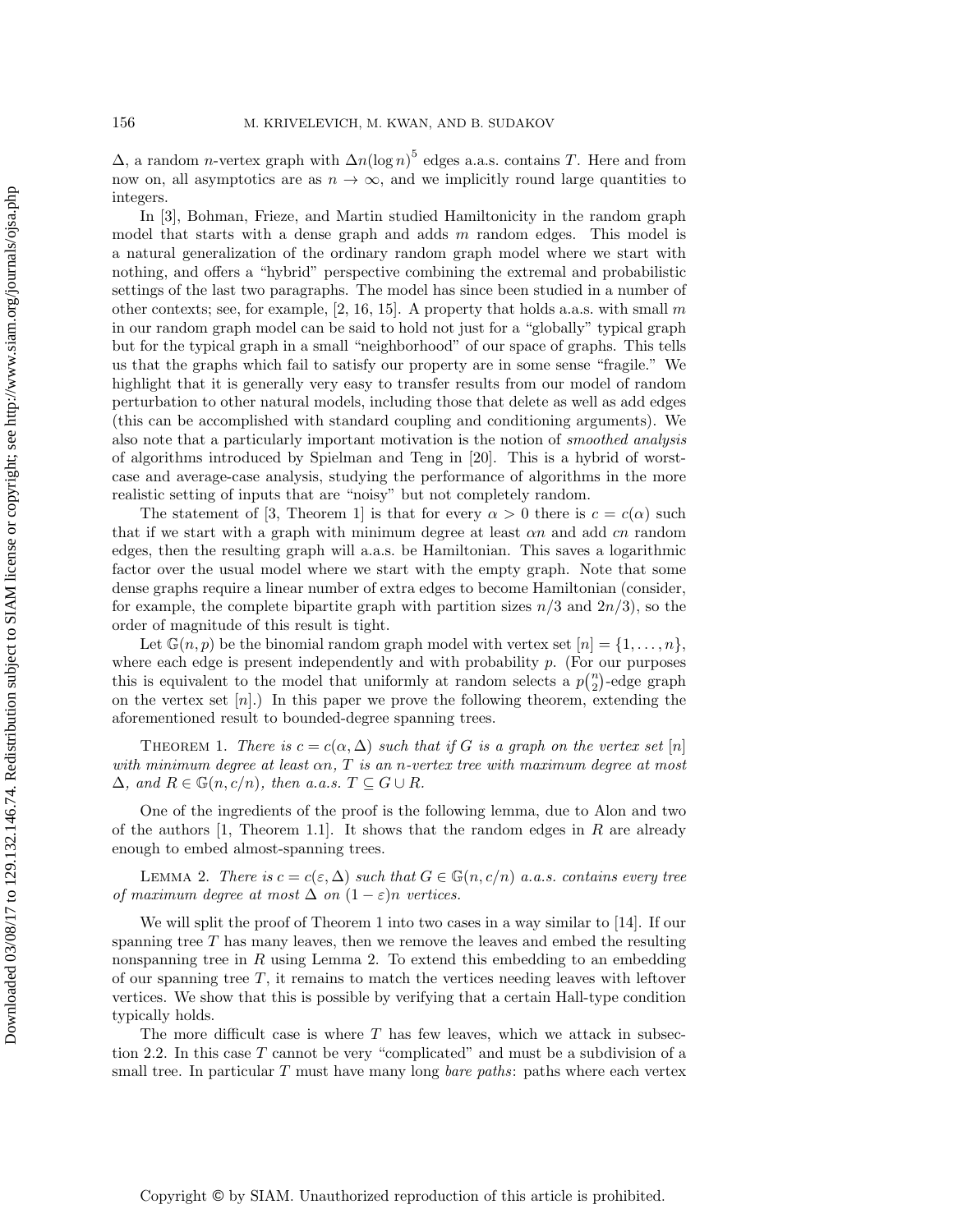$\Delta$ , a random *n*-vertex graph with  $\Delta n(\log n)^5$  edges a.a.s. contains T. Here and from now on, all asymptotics are as  $n \to \infty$ , and we implicitly round large quantities to integers.

In [\[3\]](#page-16-7), Bohman, Frieze, and Martin studied Hamiltonicity in the random graph model that starts with a dense graph and adds  $m$  random edges. This model is a natural generalization of the ordinary random graph model where we start with nothing, and offers a "hybrid" perspective combining the extremal and probabilistic settings of the last two paragraphs. The model has since been studied in a number of other contexts; see, for example,  $[2, 16, 15]$  $[2, 16, 15]$  $[2, 16, 15]$ . A property that holds a.a.s. with small m in our random graph model can be said to hold not just for a "globally" typical graph but for the typical graph in a small "neighborhood" of our space of graphs. This tells us that the graphs which fail to satisfy our property are in some sense "fragile." We highlight that it is generally very easy to transfer results from our model of random perturbation to other natural models, including those that delete as well as add edges (this can be accomplished with standard coupling and conditioning arguments). We also note that a particularly important motivation is the notion of smoothed analysis of algorithms introduced by Spielman and Teng in [\[20\]](#page-16-11). This is a hybrid of worstcase and average-case analysis, studying the performance of algorithms in the more realistic setting of inputs that are "noisy" but not completely random.

The statement of [\[3,](#page-16-7) Theorem 1] is that for every  $\alpha > 0$  there is  $c = c(\alpha)$  such that if we start with a graph with minimum degree at least  $\alpha n$  and add cn random edges, then the resulting graph will a.a.s. be Hamiltonian. This saves a logarithmic factor over the usual model where we start with the empty graph. Note that some dense graphs require a linear number of extra edges to become Hamiltonian (consider, for example, the complete bipartite graph with partition sizes  $n/3$  and  $2n/3$ , so the order of magnitude of this result is tight.

Let  $\mathbb{G}(n, p)$  be the binomial random graph model with vertex set  $[n] = \{1, \ldots, n\},\$ where each edge is present independently and with probability  $p$ . (For our purposes this is equivalent to the model that uniformly at random selects a  $p\binom{n}{2}$ -edge graph on the vertex set  $[n]$ .) In this paper we prove the following theorem, extending the aforementioned result to bounded-degree spanning trees.

<span id="page-1-0"></span>THEOREM 1. There is  $c = c(\alpha, \Delta)$  such that if G is a graph on the vertex set [n] with minimum degree at least  $\alpha n$ , T is an n-vertex tree with maximum degree at most  $\Delta$ , and  $R \in \mathbb{G}(n, c/n)$ , then a.a.s.  $T \subseteq G \cup R$ .

<span id="page-1-1"></span>One of the ingredients of the proof is the following lemma, due to Alon and two of the authors  $[1,$  Theorem 1.1..]. It shows that the random edges in R are already enough to embed almost-spanning trees.

LEMMA 2. There is  $c = c(\varepsilon, \Delta)$  such that  $G \in \mathbb{G}(n, c/n)$  a.a.s. contains every tree of maximum degree at most  $\Delta$  on  $(1 - \varepsilon)n$  vertices.

We will split the proof of [Theorem 1](#page-1-0) into two cases in a way similar to [\[14\]](#page-16-13). If our spanning tree  $T$  has many leaves, then we remove the leaves and embed the resulting nonspanning tree in  $R$  using [Lemma 2.](#page-1-1) To extend this embedding to an embedding of our spanning tree  $T$ , it remains to match the vertices needing leaves with leftover vertices. We show that this is possible by verifying that a certain Hall-type condition typically holds.

The more difficult case is where  $T$  has few leaves, which we attack in [subsec](#page-3-0)[tion 2.2.](#page-3-0) In this case  $T$  cannot be very "complicated" and must be a subdivision of a small tree. In particular  $T$  must have many long *bare paths*: paths where each vertex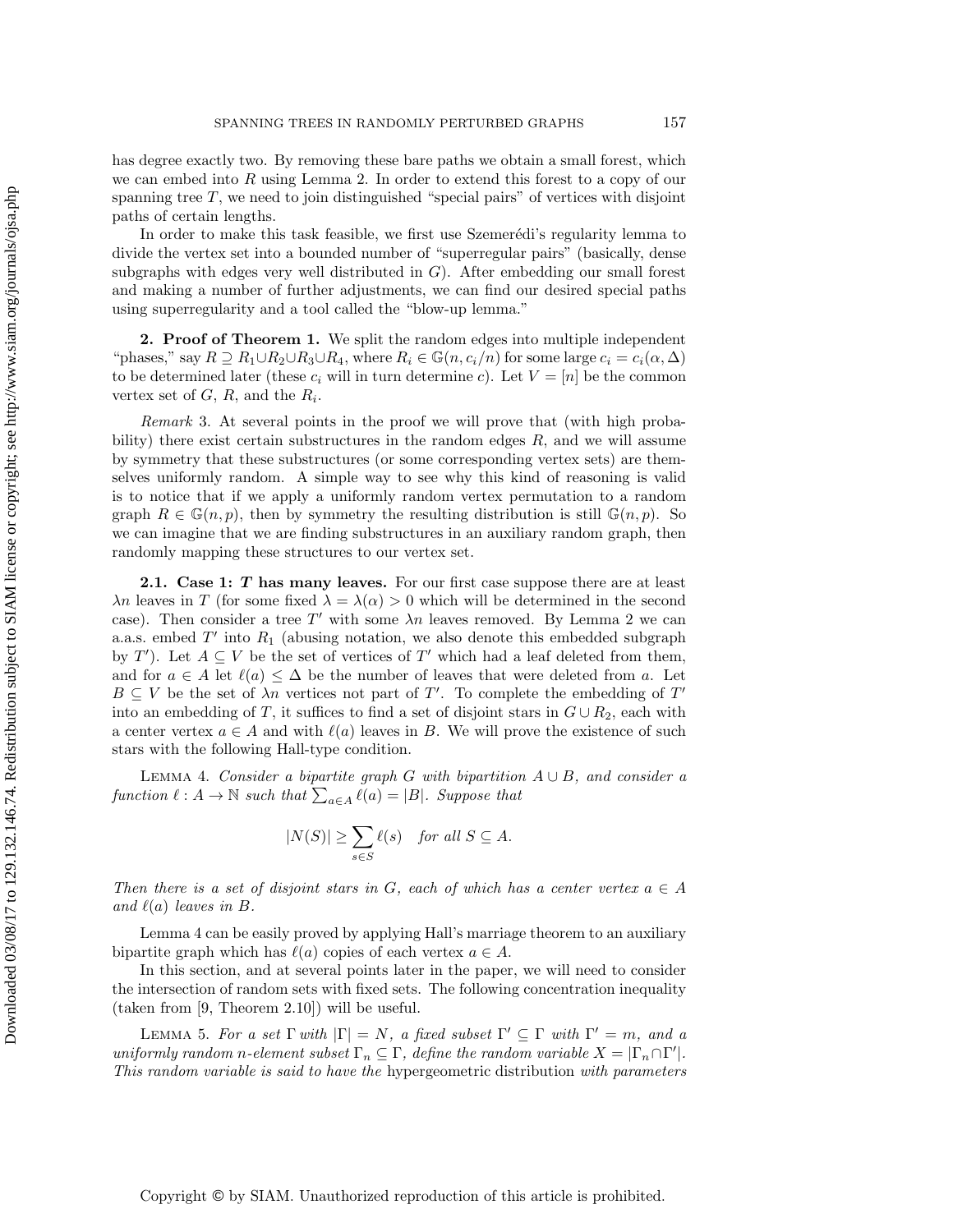has degree exactly two. By removing these bare paths we obtain a small forest, which we can embed into R using [Lemma 2.](#page-1-1) In order to extend this forest to a copy of our spanning tree  $T$ , we need to join distinguished "special pairs" of vertices with disjoint paths of certain lengths.

In order to make this task feasible, we first use Szemerédi's regularity lemma to divide the vertex set into a bounded number of "superregular pairs" (basically, dense subgraphs with edges very well distributed in  $G$ ). After embedding our small forest and making a number of further adjustments, we can find our desired special paths using superregularity and a tool called the "blow-up lemma."

**2. Proof of [Theorem 1.](#page-1-0)** We split the random edges into multiple independent "phases," say  $R \supseteq R_1 \cup R_2 \cup R_3 \cup R_4$ , where  $R_i \in \mathbb{G}(n, c_i/n)$  for some large  $c_i = c_i(\alpha, \Delta)$ to be determined later (these  $c_i$  will in turn determine c). Let  $V = [n]$  be the common vertex set of  $G, R$ , and the  $R_i$ .

<span id="page-2-1"></span>Remark 3. At several points in the proof we will prove that (with high probability) there exist certain substructures in the random edges  $R$ , and we will assume by symmetry that these substructures (or some corresponding vertex sets) are themselves uniformly random. A simple way to see why this kind of reasoning is valid is to notice that if we apply a uniformly random vertex permutation to a random graph  $R \in \mathbb{G}(n, p)$ , then by symmetry the resulting distribution is still  $\mathbb{G}(n, p)$ . So we can imagine that we are finding substructures in an auxiliary random graph, then randomly mapping these structures to our vertex set.

<span id="page-2-3"></span>**2.1.** Case 1:  $T$  has many leaves. For our first case suppose there are at least  $\lambda n$  leaves in T (for some fixed  $\lambda = \lambda(\alpha) > 0$  which will be determined in the second case). Then consider a tree T' with some  $\lambda n$  leaves removed. By [Lemma 2](#page-1-1) we can a.a.s. embed  $T'$  into  $R_1$  (abusing notation, we also denote this embedded subgraph by T'). Let  $A \subseteq V$  be the set of vertices of T' which had a leaf deleted from them, and for  $a \in A$  let  $\ell(a) \leq \Delta$  be the number of leaves that were deleted from a. Let  $B \subseteq V$  be the set of  $\lambda n$  vertices not part of T'. To complete the embedding of T' into an embedding of T, it suffices to find a set of disjoint stars in  $G \cup R_2$ , each with a center vertex  $a \in A$  and with  $\ell(a)$  leaves in B. We will prove the existence of such stars with the following Hall-type condition.

LEMMA 4. Consider a bipartite graph G with bipartition  $A \cup B$ , and consider a function  $\ell : A \to \mathbb{N}$  such that  $\sum_{a \in A} \ell(a) = |B|$ . Suppose that

<span id="page-2-0"></span>
$$
|N(S)| \ge \sum_{s \in S} \ell(s) \quad \text{for all } S \subseteq A.
$$

Then there is a set of disjoint stars in G, each of which has a center vertex  $a \in A$ and  $\ell(a)$  leaves in B.

[Lemma 4](#page-2-0) can be easily proved by applying Hall's marriage theorem to an auxiliary bipartite graph which has  $\ell(a)$  copies of each vertex  $a \in A$ .

In this section, and at several points later in the paper, we will need to consider the intersection of random sets with fixed sets. The following concentration inequality (taken from [\[9,](#page-16-14) Theorem 2.10]) will be useful.

<span id="page-2-2"></span>LEMMA 5. For a set  $\Gamma$  with  $|\Gamma| = N$ , a fixed subset  $\Gamma' \subseteq \Gamma$  with  $\Gamma' = m$ , and a uniformly random n-element subset  $\Gamma_n \subseteq \Gamma$ , define the random variable  $X = |\Gamma_n \cap \Gamma'|$ . This random variable is said to have the hypergeometric distribution with parameters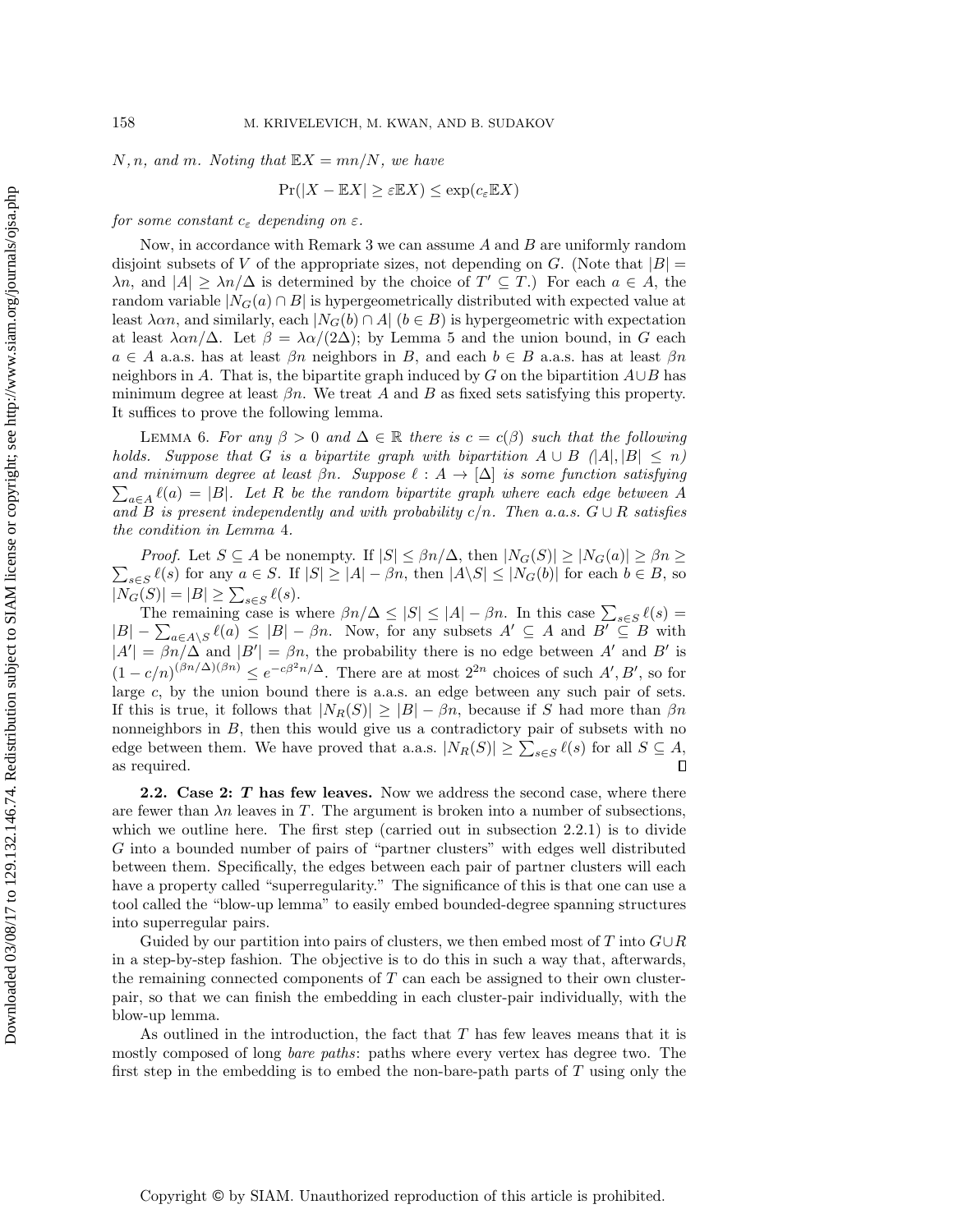N, n, and m. Noting that  $\mathbb{E}X = mn/N$ , we have

<span id="page-3-1"></span>
$$
\Pr(|X - \mathbb{E}X| \ge \varepsilon \mathbb{E}X) \le \exp(c_{\varepsilon} \mathbb{E}X)
$$

for some constant  $c_{\varepsilon}$  depending on  $\varepsilon$ .

Now, in accordance with [Remark 3](#page-2-1) we can assume  $A$  and  $B$  are uniformly random disjoint subsets of V of the appropriate sizes, not depending on G. (Note that  $|B|$  =  $\lambda n$ , and  $|A| \geq \lambda n/\Delta$  is determined by the choice of  $T' \subseteq T$ .) For each  $a \in A$ , the random variable  $|N_G(a) \cap B|$  is hypergeometrically distributed with expected value at least  $\lambda \alpha n$ , and similarly, each  $|N_G(b) \cap A|$   $(b \in B)$  is hypergeometric with expectation at least  $\lambda \alpha n/\Delta$ . Let  $\beta = \lambda \alpha/(2\Delta)$ ; by [Lemma 5](#page-2-2) and the union bound, in G each  $a \in A$  a.a.s. has at least  $\beta n$  neighbors in B, and each  $b \in B$  a.a.s. has at least  $\beta n$ neighbors in A. That is, the bipartite graph induced by G on the bipartition  $A \cup B$  has minimum degree at least  $\beta n$ . We treat A and B as fixed sets satisfying this property. It suffices to prove the following lemma.

LEMMA 6. For any  $\beta > 0$  and  $\Delta \in \mathbb{R}$  there is  $c = c(\beta)$  such that the following holds. Suppose that G is a bipartite graph with bipartition  $A \cup B$   $\langle |A|, |B| \leq n$  $\sum_{a\in A} \ell(a) = |B|$ . Let R be the random bipartite graph where each edge between A and minimum degree at least  $\beta n$ . Suppose  $\ell : A \rightarrow [\Delta]$  is some function satisfying and B is present independently and with probability  $c/n$ . Then a.a.s.  $G \cup R$  satisfies the condition in [Lemma](#page-2-0) 4.

 $\sum_{s\in S} \ell(s)$  for any  $a \in S$ . If  $|S| \geq |A| - \beta n$ , then  $|A\setminus S| \leq |N_G(b)|$  for each  $b \in B$ , so *Proof.* Let  $S \subseteq A$  be nonempty. If  $|S| \leq \beta n/\Delta$ , then  $|N_G(S)| \geq |N_G(a)| \geq \beta n \geq$  $|N_G(S)| = |B| \ge \sum_{s \in S} \ell(s).$ 

The remaining case is where  $\beta n/\Delta \leq |S| \leq |A| - \beta n$ . In this case  $\sum_{s \in S} \ell(s) =$  $|B| - \sum_{a \in A \setminus S} \ell(a) \leq |B| - \beta n$ . Now, for any subsets  $A' \subseteq A$  and  $B' \subseteq B$  with  $|A'| = \beta n/\Delta$  and  $|B'| = \beta n$ , the probability there is no edge between A' and B' is  $(1-c/n)^{(\beta n/\Delta)(\beta n)} \leq e^{-c\beta^2 n/\Delta}$ . There are at most  $2^{2n}$  choices of such  $A', B'$ , so for large c, by the union bound there is a.a.s. an edge between any such pair of sets. If this is true, it follows that  $|N_R(S)| \geq |B| - \beta n$ , because if S had more than  $\beta n$ nonneighbors in B, then this would give us a contradictory pair of subsets with no edge between them. We have proved that a.a.s.  $|N_R(S)| \geq \sum_{s \in S} \ell(s)$  for all  $S \subseteq A$ ,  $\Box$ as required.

<span id="page-3-0"></span>2.2. Case 2: T has few leaves. Now we address the second case, where there are fewer than  $\lambda n$  leaves in T. The argument is broken into a number of subsections, which we outline here. The first step (carried out in [subsection 2.2.1\)](#page-4-0) is to divide G into a bounded number of pairs of "partner clusters" with edges well distributed between them. Specifically, the edges between each pair of partner clusters will each have a property called "superregularity." The significance of this is that one can use a tool called the "blow-up lemma" to easily embed bounded-degree spanning structures into superregular pairs.

Guided by our partition into pairs of clusters, we then embed most of T into  $G \cup R$ in a step-by-step fashion. The objective is to do this in such a way that, afterwards, the remaining connected components of  $T$  can each be assigned to their own clusterpair, so that we can finish the embedding in each cluster-pair individually, with the blow-up lemma.

As outlined in the introduction, the fact that T has few leaves means that it is mostly composed of long *bare paths*: paths where every vertex has degree two. The first step in the embedding is to embed the non-bare-path parts of  $T$  using only the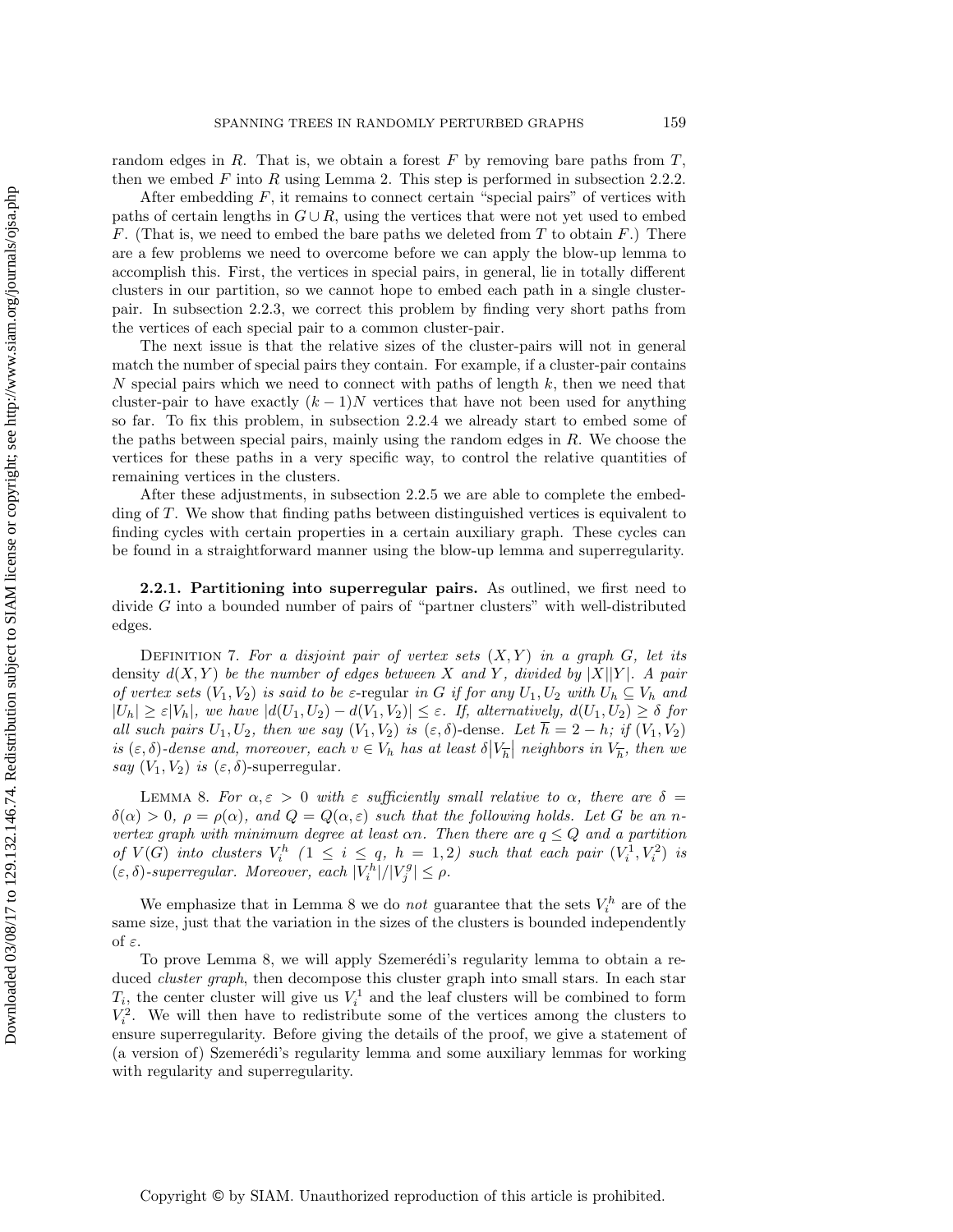random edges in  $R$ . That is, we obtain a forest  $F$  by removing bare paths from  $T$ , then we embed  $F$  into  $R$  using [Lemma 2.](#page-1-1) This step is performed in [subsection 2.2.2.](#page-6-0)

After embedding  $F$ , it remains to connect certain "special pairs" of vertices with paths of certain lengths in  $G \cup R$ , using the vertices that were not yet used to embed F. (That is, we need to embed the bare paths we deleted from T to obtain  $F$ .) There are a few problems we need to overcome before we can apply the blow-up lemma to accomplish this. First, the vertices in special pairs, in general, lie in totally different clusters in our partition, so we cannot hope to embed each path in a single clusterpair. In [subsection 2.2.3,](#page-8-0) we correct this problem by finding very short paths from the vertices of each special pair to a common cluster-pair.

The next issue is that the relative sizes of the cluster-pairs will not in general match the number of special pairs they contain. For example, if a cluster-pair contains N special pairs which we need to connect with paths of length  $k$ , then we need that cluster-pair to have exactly  $(k-1)N$  vertices that have not been used for anything so far. To fix this problem, in [subsection 2.2.4](#page-10-0) we already start to embed some of the paths between special pairs, mainly using the random edges in  $R$ . We choose the vertices for these paths in a very specific way, to control the relative quantities of remaining vertices in the clusters.

After these adjustments, in [subsection 2.2.5](#page-14-0) we are able to complete the embedding of T. We show that finding paths between distinguished vertices is equivalent to finding cycles with certain properties in a certain auxiliary graph. These cycles can be found in a straightforward manner using the blow-up lemma and superregularity.

<span id="page-4-0"></span>2.2.1. Partitioning into superregular pairs. As outlined, we first need to divide G into a bounded number of pairs of "partner clusters" with well-distributed edges.

DEFINITION 7. For a disjoint pair of vertex sets  $(X, Y)$  in a graph  $G$ , let its density  $d(X, Y)$  be the number of edges between X and Y, divided by  $|X||Y|$ . A pair of vertex sets  $(V_1, V_2)$  is said to be  $\varepsilon$ -regular in G if for any  $U_1, U_2$  with  $U_h \subseteq V_h$  and  $|U_h| \geq \varepsilon |V_h|$ , we have  $|d(U_1, U_2) - d(V_1, V_2)| \leq \varepsilon$ . If, alternatively,  $d(U_1, U_2) \geq \delta$  for all such pairs  $U_1, U_2$ , then we say  $(V_1, V_2)$  is  $(\varepsilon, \delta)$ -dense. Let  $\overline{h} = 2 - h$ ; if  $(V_1, V_2)$ is  $(\varepsilon, \delta)$ -dense and, moreover, each  $v \in V_h$  has at least  $\delta |V_{\overline{h}}|$  neighbors in  $V_{\overline{h}}$ , then we say  $(V_1, V_2)$  is  $(\varepsilon, \delta)$ -superregular.

<span id="page-4-1"></span>LEMMA 8. For  $\alpha, \varepsilon > 0$  with  $\varepsilon$  sufficiently small relative to  $\alpha$ , there are  $\delta =$  $\delta(\alpha) > 0$ ,  $\rho = \rho(\alpha)$ , and  $Q = Q(\alpha, \varepsilon)$  such that the following holds. Let G be an nvertex graph with minimum degree at least  $\alpha n$ . Then there are  $q \leq Q$  and a partition of  $V(G)$  into clusters  $V_i^h$   $(1 \leq i \leq q, h = 1, 2)$  such that each pair  $(V_i^1, V_i^2)$  is  $(\varepsilon, \delta)$ -superregular. Moreover, each  $|V_i^h|/|V_j^g| \leq \rho$ .

We emphasize that in [Lemma 8](#page-4-1) we do *not* guarantee that the sets  $V_i^h$  are of the same size, just that the variation in the sizes of the clusters is bounded independently of ε.

To prove [Lemma 8,](#page-4-1) we will apply Szemerédi's regularity lemma to obtain a reduced *cluster graph*, then decompose this cluster graph into small stars. In each star  $T_i$ , the center cluster will give us  $V_i^1$  and the leaf clusters will be combined to form  $V_i^2$ . We will then have to redistribute some of the vertices among the clusters to ensure superregularity. Before giving the details of the proof, we give a statement of (a version of) Szemerédi's regularity lemma and some auxiliary lemmas for working with regularity and superregularity.

Copyright © by SIAM. Unauthorized reproduction of this article is prohibited.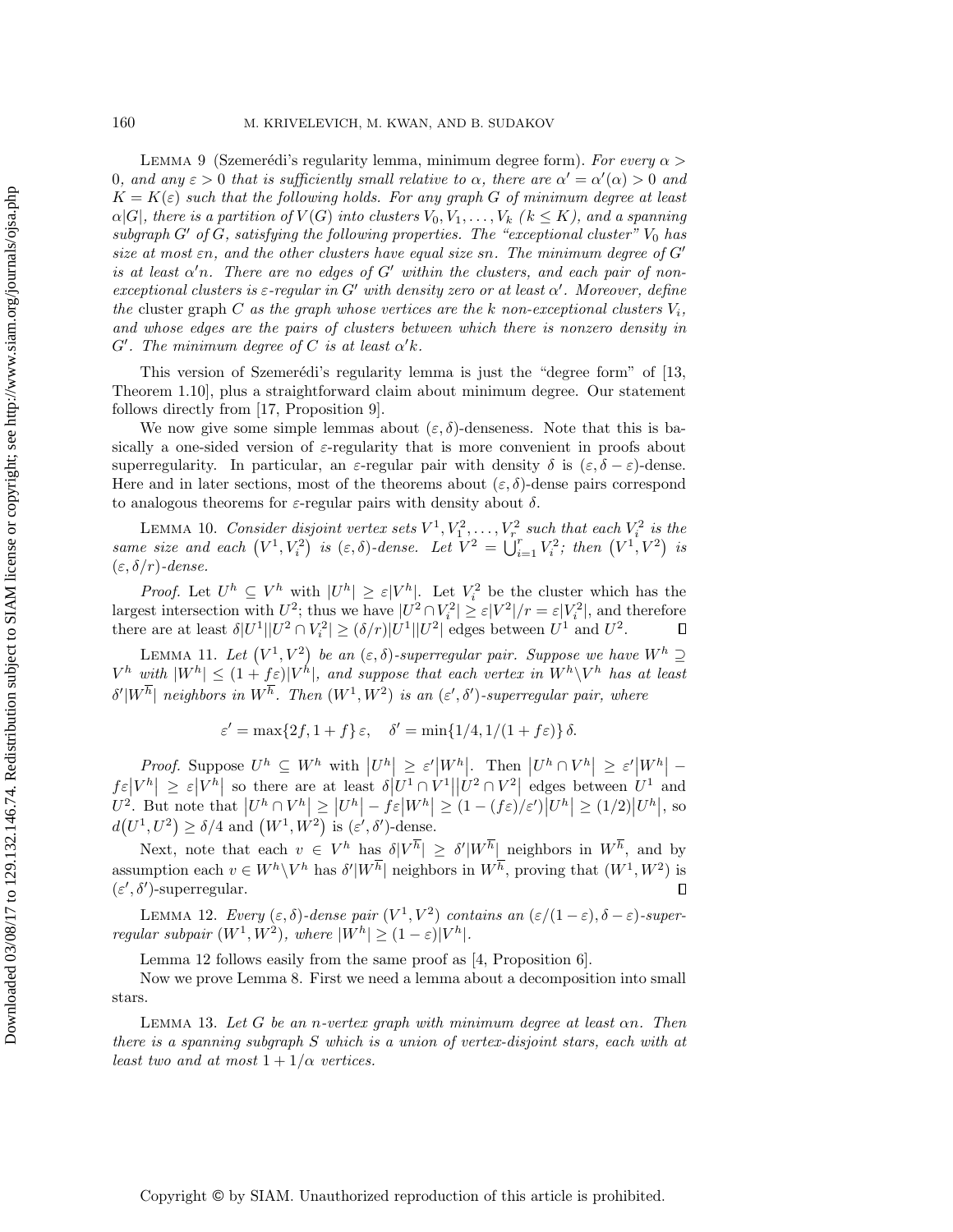LEMMA 9 (Szemerédi's regularity lemma, minimum degree form). For every  $\alpha >$ 0, and any  $\varepsilon > 0$  that is sufficiently small relative to  $\alpha$ , there are  $\alpha' = \alpha'(\alpha) > 0$  and  $K = K(\varepsilon)$  such that the following holds. For any graph G of minimum degree at least  $\alpha|G|$ , there is a partition of  $V(G)$  into clusters  $V_0, V_1, \ldots, V_k$  ( $k \leq K$ ), and a spanning subgraph  $G'$  of  $G$ , satisfying the following properties. The "exceptional cluster"  $V_0$  has size at most  $\varepsilon n$ , and the other clusters have equal size sn. The minimum degree of  $G'$ is at least  $\alpha'$ n. There are no edges of  $G'$  within the clusters, and each pair of nonexceptional clusters is  $\varepsilon$ -regular in G' with density zero or at least  $\alpha'$ . Moreover, define the cluster graph C as the graph whose vertices are the k non-exceptional clusters  $V_i$ , and whose edges are the pairs of clusters between which there is nonzero density in  $G'$ . The minimum degree of C is at least  $\alpha' k$ .

This version of Szemerédi's regularity lemma is just the "degree form" of  $|13$ , Theorem 1.10], plus a straightforward claim about minimum degree. Our statement follows directly from [\[17,](#page-16-16) Proposition 9].

We now give some simple lemmas about  $(\varepsilon, \delta)$ -denseness. Note that this is basically a one-sided version of  $\varepsilon$ -regularity that is more convenient in proofs about superregularity. In particular, an  $\varepsilon$ -regular pair with density  $\delta$  is  $(\varepsilon, \delta - \varepsilon)$ -dense. Here and in later sections, most of the theorems about  $(\varepsilon, \delta)$ -dense pairs correspond to analogous theorems for  $\varepsilon$ -regular pairs with density about  $\delta$ .

LEMMA 10. Consider disjoint vertex sets  $V^1, V_1^2, \ldots, V_r^2$  such that each  $V_i^2$  is the same size and each  $(V^1, V_i^2)$  is  $(\varepsilon, \delta)$ -dense. Let  $V^2 = \bigcup_{i=1}^r V_i^2$ ; then  $(V^1, V^2)$  is  $(\varepsilon, \delta/r)$ -dense.

*Proof.* Let  $U^h \subseteq V^h$  with  $|U^h| \geq \varepsilon |V^h|$ . Let  $V_i^2$  be the cluster which has the largest intersection with  $U^2$ ; thus we have  $|U^2 \cap V_i^2| \ge \varepsilon |V^2|/r = \varepsilon |V_i^2|$ , and therefore there are at least  $\delta |U^1||U^2 \cap V_i^2| \ge (\delta/r)|U^1||U^2|$  edges between  $U^1$  and  $U^2$ .  $\Box$ 

<span id="page-5-3"></span>LEMMA 11. Let  $(V^1, V^2)$  be an  $(\varepsilon, \delta)$ -superregular pair. Suppose we have  $W^h \supseteq$  $V^h$  with  $|W^h| \leq (1+f\varepsilon)|V^h|$ , and suppose that each vertex in  $W^h\backslash V^h$  has at least  $\delta' |W^h|$  neighbors in  $W^h$ . Then  $(W^1, W^2)$  is an  $(\varepsilon', \delta')$ -superregular pair, where

<span id="page-5-2"></span>
$$
\varepsilon' = \max\{2f, 1+f\} \,\varepsilon, \quad \delta' = \min\{1/4, 1/(1+f\varepsilon)\} \,\delta.
$$

Proof. Suppose  $U^h \subseteq W^h$  with  $|U^h| \geq \varepsilon'|W^h|$ . Then  $|U^h \cap V^h| \geq \varepsilon'|W^h|$  $f \in |V^h| \geq \varepsilon |V^h|$  so there are at least  $\delta |U^1 \cap V^1||U^2 \cap V^2|$  edges between  $U^1$  and  $U^2$ . But note that  $|U^h \cap V^h| \geq |U^h| - f\varepsilon |W^h| \geq (1 - (f\varepsilon)/\varepsilon')|U^h| \geq (1/2)|U^h|$ , so  $d(U^1, U^2) \ge \delta/4$  and  $(W^1, W^2)$  is  $(\varepsilon', \delta')$ -dense.

Next, note that each  $v \in V^h$  has  $\delta |V^h| \geq \delta' |W^h|$  neighbors in  $W^h$ , and by assumption each  $v \in W^h \backslash V^h$  has  $\delta' |W^h|$  neighbors in  $W^h$ , proving that  $(W^1, W^2)$  is  $(\varepsilon', \delta')$ -superregular.  $\Box$ 

<span id="page-5-0"></span>LEMMA 12. Every  $(\varepsilon, \delta)$ -dense pair  $(V^1, V^2)$  contains an  $(\varepsilon/(1-\varepsilon), \delta - \varepsilon)$ -superregular subpair  $(W^1, W^2)$ , where  $|W^h| \ge (1 - \varepsilon)|V^h|$ .

<span id="page-5-1"></span>[Lemma 12](#page-5-0) follows easily from the same proof as [\[4,](#page-16-17) Proposition 6].

Now we prove [Lemma 8.](#page-4-1) First we need a lemma about a decomposition into small stars.

LEMMA 13. Let  $G$  be an n-vertex graph with minimum degree at least  $\alpha n$ . Then there is a spanning subgraph S which is a union of vertex-disjoint stars, each with at least two and at most  $1 + 1/\alpha$  vertices.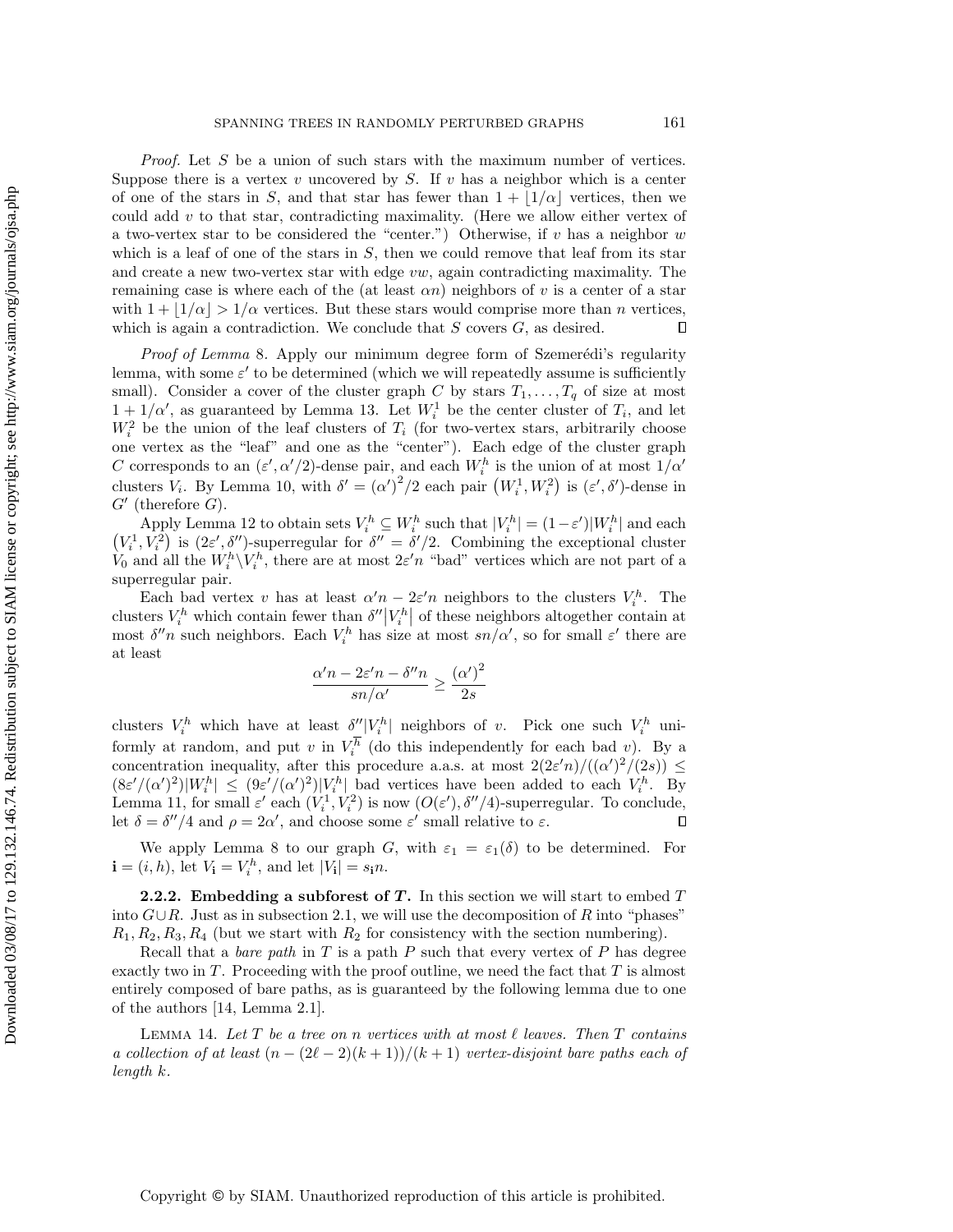Proof. Let S be a union of such stars with the maximum number of vertices. Suppose there is a vertex  $v$  uncovered by  $S$ . If  $v$  has a neighbor which is a center of one of the stars in S, and that star has fewer than  $1 + |1/\alpha|$  vertices, then we could add  $v$  to that star, contradicting maximality. (Here we allow either vertex of a two-vertex star to be considered the "center.") Otherwise, if v has a neighbor  $w$ which is a leaf of one of the stars in  $S$ , then we could remove that leaf from its star and create a new two-vertex star with edge vw, again contradicting maximality. The remaining case is where each of the (at least  $\alpha n$ ) neighbors of v is a center of a star with  $1 + |1/\alpha| > 1/\alpha$  vertices. But these stars would comprise more than n vertices, which is again a contradiction. We conclude that  $S$  covers  $G$ , as desired.  $\Box$ 

Proof of [Lemma](#page-4-1) 8. Apply our minimum degree form of Szemerédi's regularity lemma, with some  $\varepsilon'$  to be determined (which we will repeatedly assume is sufficiently small). Consider a cover of the cluster graph C by stars  $T_1, \ldots, T_q$  of size at most  $1 + 1/\alpha'$ , as guaranteed by [Lemma 13.](#page-5-1) Let  $W_i^1$  be the center cluster of  $T_i$ , and let  $W_i^2$  be the union of the leaf clusters of  $T_i$  (for two-vertex stars, arbitrarily choose one vertex as the "leaf" and one as the "center"). Each edge of the cluster graph C corresponds to an  $(\varepsilon', \alpha'/2)$ -dense pair, and each  $W_i^h$  is the union of at most  $1/\alpha'$ clusters  $V_i$ . By [Lemma 10,](#page-5-2) with  $\delta' = (\alpha')^2/2$  each pair  $(W_i^1, W_i^2)$  is  $(\varepsilon', \delta')$ -dense in  $G'$  (therefore  $G$ ).

Apply [Lemma 12](#page-5-0) to obtain sets  $V_i^h \subseteq W_i^h$  such that  $|V_i^h| = (1 - \varepsilon')|W_i^h|$  and each  $(V_i^1, V_i^2)$  is  $(2\varepsilon', \delta'')$ -superregular for  $\delta'' = \delta'/2$ . Combining the exceptional cluster  $\hat{V}_0$  and all the  $W_i^h \backslash V_i^h$ , there are at most  $2\varepsilon'n$  "bad" vertices which are not part of a superregular pair.

Each bad vertex v has at least  $\alpha' n - 2\varepsilon' n$  neighbors to the clusters  $V_i^h$ . The clusters  $V_i^h$  which contain fewer than  $\delta''|V_i^h|$  of these neighbors altogether contain at most  $\delta''$ n such neighbors. Each  $V_i^h$  has size at most  $sn/\alpha'$ , so for small  $\varepsilon'$  there are at least

$$
\frac{\alpha' n - 2\varepsilon' n - \delta'' n}{sn/\alpha'} \ge \frac{(\alpha')^2}{2s}
$$

clusters  $V_i^h$  which have at least  $\delta''|V_i^h|$  neighbors of v. Pick one such  $V_i^h$  uniformly at random, and put v in  $V_i^h$  (do this independently for each bad v). By a concentration inequality, after this procedure a.a.s. at most  $2(2\varepsilon'n)/((\alpha')^2/(2s)) \le$  $(8\varepsilon' / (\alpha')^2)|W_i^h| \leq (9\varepsilon' / (\alpha')^2)|V_i^h|$  bad vertices have been added to each  $V_i^h$ . By [Lemma 11,](#page-5-3) for small  $\varepsilon'$  each  $(V_i^1, V_i^2)$  is now  $(O(\varepsilon'), \delta''/4)$ -superregular. To conclude, let  $\delta = \delta''/4$  and  $\rho = 2\alpha'$ , and choose some  $\varepsilon'$  small relative to  $\varepsilon$ .  $\Box$ 

We apply [Lemma 8](#page-4-1) to our graph G, with  $\varepsilon_1 = \varepsilon_1(\delta)$  to be determined. For  $\mathbf{i} = (i, h)$ , let  $V_{\mathbf{i}} = V_i^h$ , and let  $|V_{\mathbf{i}}| = s_{\mathbf{i}}n$ .

<span id="page-6-0"></span>**2.2.2.** Embedding a subforest of  $T$ . In this section we will start to embed  $T$ into  $G\cup R$ . Just as in [subsection 2.1,](#page-2-3) we will use the decomposition of R into "phases"  $R_1, R_2, R_3, R_4$  (but we start with  $R_2$  for consistency with the section numbering).

Recall that a bare path in  $T$  is a path  $P$  such that every vertex of  $P$  has degree exactly two in  $T$ . Proceeding with the proof outline, we need the fact that  $T$  is almost entirely composed of bare paths, as is guaranteed by the following lemma due to one of the authors [\[14,](#page-16-13) Lemma 2.1].

LEMMA 14. Let  $T$  be a tree on n vertices with at most  $\ell$  leaves. Then  $T$  contains a collection of at least  $(n - (2\ell - 2)(k + 1))/(k + 1)$  vertex-disjoint bare paths each of length k.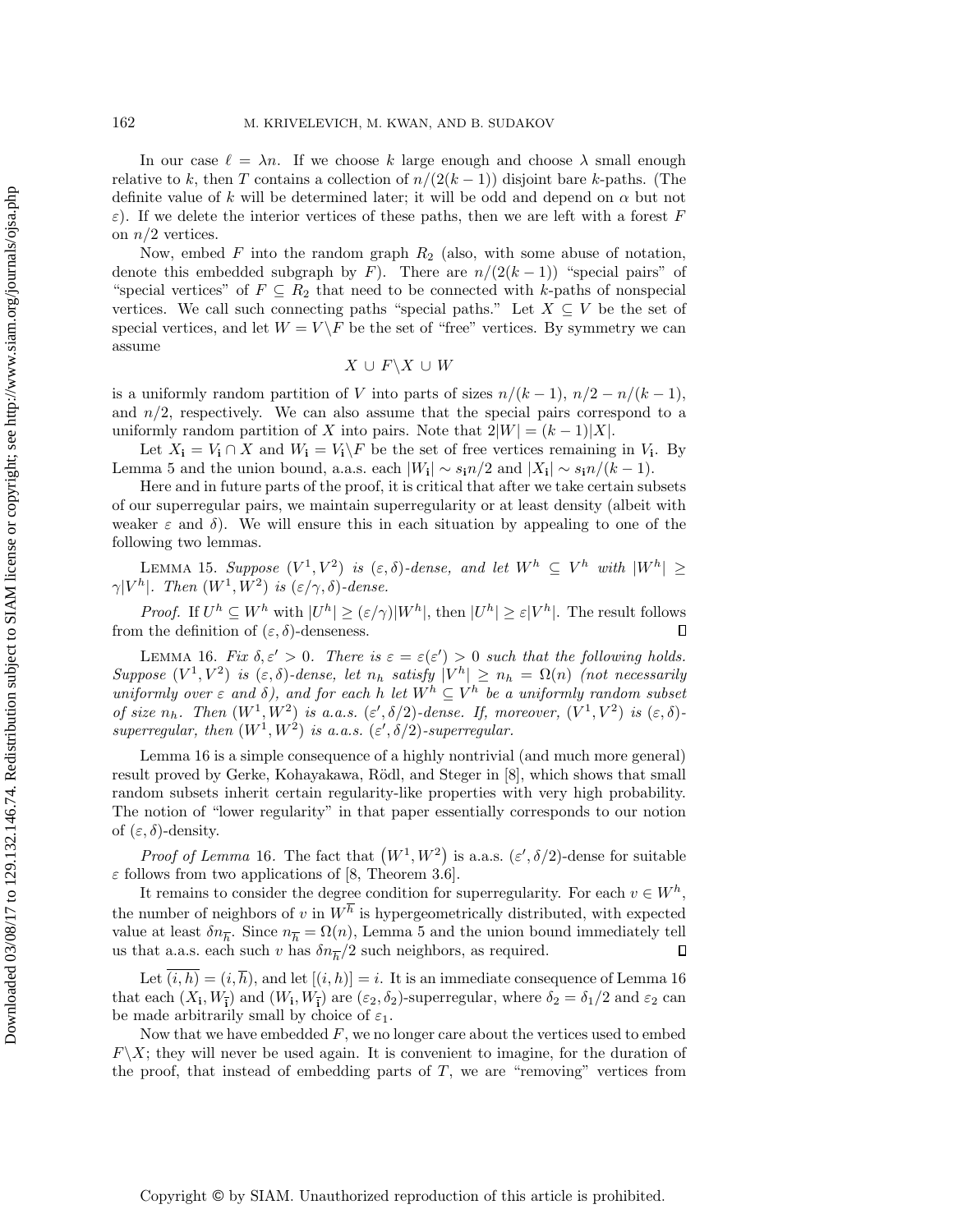In our case  $\ell = \lambda n$ . If we choose k large enough and choose  $\lambda$  small enough relative to k, then T contains a collection of  $n/(2(k-1))$  disjoint bare k-paths. (The definite value of k will be determined later; it will be odd and depend on  $\alpha$  but not ε). If we delete the interior vertices of these paths, then we are left with a forest F on  $n/2$  vertices.

Now, embed F into the random graph  $R_2$  (also, with some abuse of notation, denote this embedded subgraph by F). There are  $n/(2(k-1))$  "special pairs" of "special vertices" of  $F \subseteq R_2$  that need to be connected with k-paths of nonspecial vertices. We call such connecting paths "special paths." Let  $X \subseteq V$  be the set of special vertices, and let  $W = V \backslash F$  be the set of "free" vertices. By symmetry we can assume

$$
X\,\cup\,F\backslash X\,\cup\,W
$$

is a uniformly random partition of V into parts of sizes  $n/(k-1)$ ,  $n/2 - n/(k-1)$ , and  $n/2$ , respectively. We can also assume that the special pairs correspond to a uniformly random partition of X into pairs. Note that  $2|W| = (k-1)|X|$ .

Let  $X_i = V_i \cap X$  and  $W_i = V_i \backslash F$  be the set of free vertices remaining in  $V_i$ . By [Lemma 5](#page-2-2) and the union bound, a.a.s. each  $|W_{i}| \sim s_{i} n/2$  and  $|X_{i}| \sim s_{i} n/(k-1)$ .

Here and in future parts of the proof, it is critical that after we take certain subsets of our superregular pairs, we maintain superregularity or at least density (albeit with weaker  $\varepsilon$  and  $\delta$ ). We will ensure this in each situation by appealing to one of the following two lemmas.

<span id="page-7-1"></span>LEMMA 15. Suppose  $(V^1, V^2)$  is  $(\varepsilon, \delta)$ -dense, and let  $W^h \subseteq V^h$  with  $|W^h| \ge$  $\gamma|V^h|$ . Then  $(W^1, W^2)$  is  $(\varepsilon/\gamma, \delta)$ -dense.

*Proof.* If  $U^h \subseteq W^h$  with  $|U^h| \geq (\varepsilon/\gamma)|W^h|$ , then  $|U^h| \geq \varepsilon|V^h|$ . The result follows from the definition of  $(\varepsilon, \delta)$ -denseness.  $\Box$ 

<span id="page-7-0"></span>LEMMA 16. Fix  $\delta, \varepsilon' > 0$ . There is  $\varepsilon = \varepsilon(\varepsilon') > 0$  such that the following holds. Suppose  $(V^1, V^2)$  is  $(\varepsilon, \delta)$ -dense, let  $n_h$  satisfy  $|V^h| \geq n_h = \Omega(n)$  (not necessarily uniformly over  $\varepsilon$  and  $\delta$ ), and for each h let  $W^h \subseteq V^h$  be a uniformly random subset of size  $n_h$ . Then  $(W^1, W^2)$  is a.a.s.  $(\varepsilon', \delta/2)$ -dense. If, moreover,  $(V^1, V^2)$  is  $(\varepsilon, \delta)$ superregular, then  $(W^1, W^2)$  is a.a.s.  $(\varepsilon', \delta/2)$ -superregular.

[Lemma 16](#page-7-0) is a simple consequence of a highly nontrivial (and much more general) result proved by Gerke, Kohayakawa, Rödl, and Steger in [\[8\]](#page-16-18), which shows that small random subsets inherit certain regularity-like properties with very high probability. The notion of "lower regularity" in that paper essentially corresponds to our notion of  $(\varepsilon, \delta)$ -density.

*Proof of [Lemma](#page-7-0)* 16. The fact that  $(W^1, W^2)$  is a.a.s.  $(\varepsilon', \delta/2)$ -dense for suitable  $\varepsilon$  follows from two applications of [\[8,](#page-16-18) Theorem 3.6].

It remains to consider the degree condition for superregularity. For each  $v \in W^h$ , the number of neighbors of v in  $W<sup>h</sup>$  is hypergeometrically distributed, with expected value at least  $\delta n_{\overline{h}}$ . Since  $n_{\overline{h}} = \Omega(n)$ , [Lemma 5](#page-2-2) and the union bound immediately tell us that a.a.s. each such v has  $\delta n_{\overline{h}}/2$  such neighbors, as required.

Let  $\overline{(i, h)} = (i, \overline{h})$ , and let  $[(i, h)] = i$ . It is an immediate consequence of [Lemma 16](#page-7-0) that each  $(X_i, W_{\overline{i}})$  and  $(W_i, W_{\overline{i}})$  are  $(\varepsilon_2, \delta_2)$ -superregular, where  $\delta_2 = \delta_1/2$  and  $\varepsilon_2$  can be made arbitrarily small by choice of  $\varepsilon_1$ .

Now that we have embedded  $F$ , we no longer care about the vertices used to embed  $F\setminus X$ ; they will never be used again. It is convenient to imagine, for the duration of the proof, that instead of embedding parts of  $T$ , we are "removing" vertices from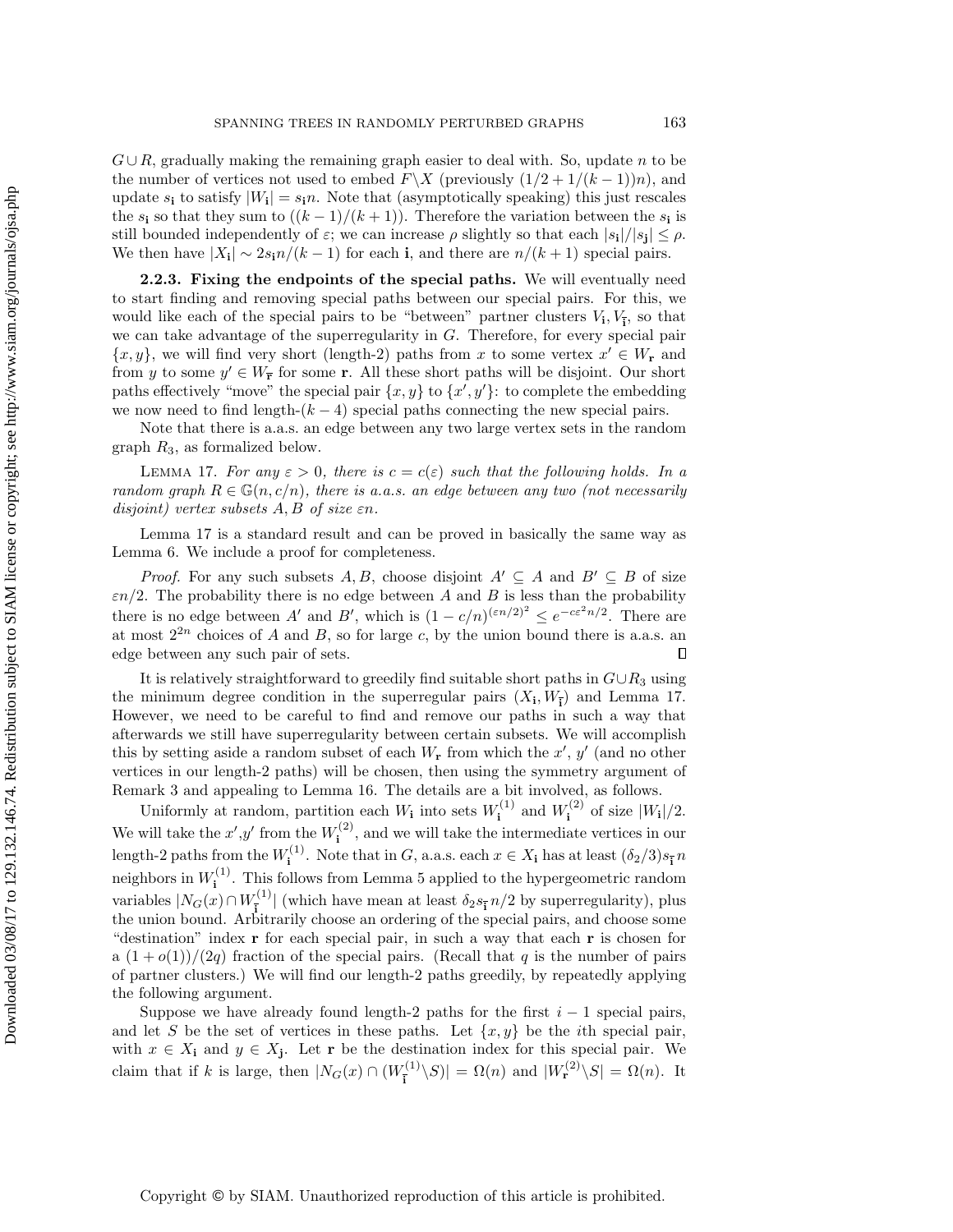$G \cup R$ , gradually making the remaining graph easier to deal with. So, update n to be the number of vertices not used to embed  $F\X$  (previously  $(1/2+1/(k-1))n$ ), and update  $s_i$  to satisfy  $|W_i| = s_i n$ . Note that (asymptotically speaking) this just rescales the  $s_i$  so that they sum to  $((k-1)/(k+1))$ . Therefore the variation between the  $s_i$  is still bounded independently of  $\varepsilon$ ; we can increase  $\rho$  slightly so that each  $|s_i|/|s_j| \leq \rho$ . We then have  $|X_i| \sim 2s_i n/(k-1)$  for each i, and there are  $n/(k+1)$  special pairs.

<span id="page-8-0"></span>2.2.3. Fixing the endpoints of the special paths. We will eventually need to start finding and removing special paths between our special pairs. For this, we would like each of the special pairs to be "between" partner clusters  $V_i, V_{\overline{i}},$  so that we can take advantage of the superregularity in G. Therefore, for every special pair  $\{x, y\}$ , we will find very short (length-2) paths from x to some vertex  $x' \in W_{\mathbf{r}}$  and from y to some  $y' \in W_{\mathbf{F}}$  for some r. All these short paths will be disjoint. Our short paths effectively "move" the special pair  $\{x, y\}$  to  $\{x', y'\}$ : to complete the embedding we now need to find length- $(k-4)$  special paths connecting the new special pairs.

<span id="page-8-1"></span>Note that there is a.a.s. an edge between any two large vertex sets in the random graph  $R_3$ , as formalized below.

LEMMA 17. For any  $\varepsilon > 0$ , there is  $c = c(\varepsilon)$  such that the following holds. In a random graph  $R \in \mathbb{G}(n, c/n)$ , there is a.a.s. an edge between any two (not necessarily disjoint) vertex subsets  $A, B$  of size  $\varepsilon n$ .

[Lemma 17](#page-8-1) is a standard result and can be proved in basically the same way as [Lemma 6.](#page-3-1) We include a proof for completeness.

*Proof.* For any such subsets A, B, choose disjoint  $A' \subseteq A$  and  $B' \subseteq B$  of size  $\varepsilon n/2$ . The probability there is no edge between A and B is less than the probability there is no edge between A' and B', which is  $(1 - c/n)^{(\varepsilon n/2)^2} \le e^{-c\varepsilon^2 n/2}$ . There are at most  $2^{2n}$  choices of A and B, so for large c, by the union bound there is a.a.s. an edge between any such pair of sets.  $\Box$ 

It is relatively straightforward to greedily find suitable short paths in  $G \cup R_3$  using the minimum degree condition in the superregular pairs  $(X_i, W_{\overline{i}})$  and [Lemma 17.](#page-8-1) However, we need to be careful to find and remove our paths in such a way that afterwards we still have superregularity between certain subsets. We will accomplish this by setting aside a random subset of each  $W_{\mathbf{r}}$  from which the  $x'$ ,  $y'$  (and no other vertices in our length-2 paths) will be chosen, then using the symmetry argument of [Remark 3](#page-2-1) and appealing to [Lemma 16.](#page-7-0) The details are a bit involved, as follows.

Uniformly at random, partition each  $W_i$  into sets  $W_i^{(1)}$  $W^{(1)}$  and  $W^{(2)}$  $i^{(2)}$  of size  $|W_{i}|/2$ . We will take the  $x', y'$  from the  $W_i^{(2)}$  $\mathbf{u}^{(2)}$ , and we will take the intermediate vertices in our length-2 paths from the  $W_i^{(1)}$  $i^{(1)}$ . Note that in G, a.a.s. each  $x \in X_i$  has at least  $(\delta_2/3) s_{\overline{i}} n$ neighbors in  $W_i^{(1)}$  $i<sup>(1)</sup>$ . This follows from [Lemma 5](#page-2-2) applied to the hypergeometric random variables  $|N_G(x) \cap W_{\bar{i}}^{(1)}|$  (which have mean at least  $\delta_2 s_{\bar{i}} n/2$  by superregularity), plus the union bound. Arbitrarily choose an ordering of the special pairs, and choose some the union bound. Arbitrarily choose an ordering of the special pairs, and choose some "destination" index r for each special pair, in such a way that each r is chosen for a  $(1+o(1))/(2q)$  fraction of the special pairs. (Recall that q is the number of pairs of partner clusters.) We will find our length-2 paths greedily, by repeatedly applying the following argument.

Suppose we have already found length-2 paths for the first  $i - 1$  special pairs, and let S be the set of vertices in these paths. Let  $\{x, y\}$  be the *i*th special pair, with  $x \in X_i$  and  $y \in X_j$ . Let r be the destination index for this special pair. We claim that if k is large, then  $|N_G(x) \cap (W_i^{(1)})|$  $|\overline{\mathbf{F}}_{\overline{\mathbf{i}}}^{(1)} \setminus S| = \Omega(n)$  and  $|W_{\mathbf{r}}^{(2)} \setminus S| = \Omega(n)$ . It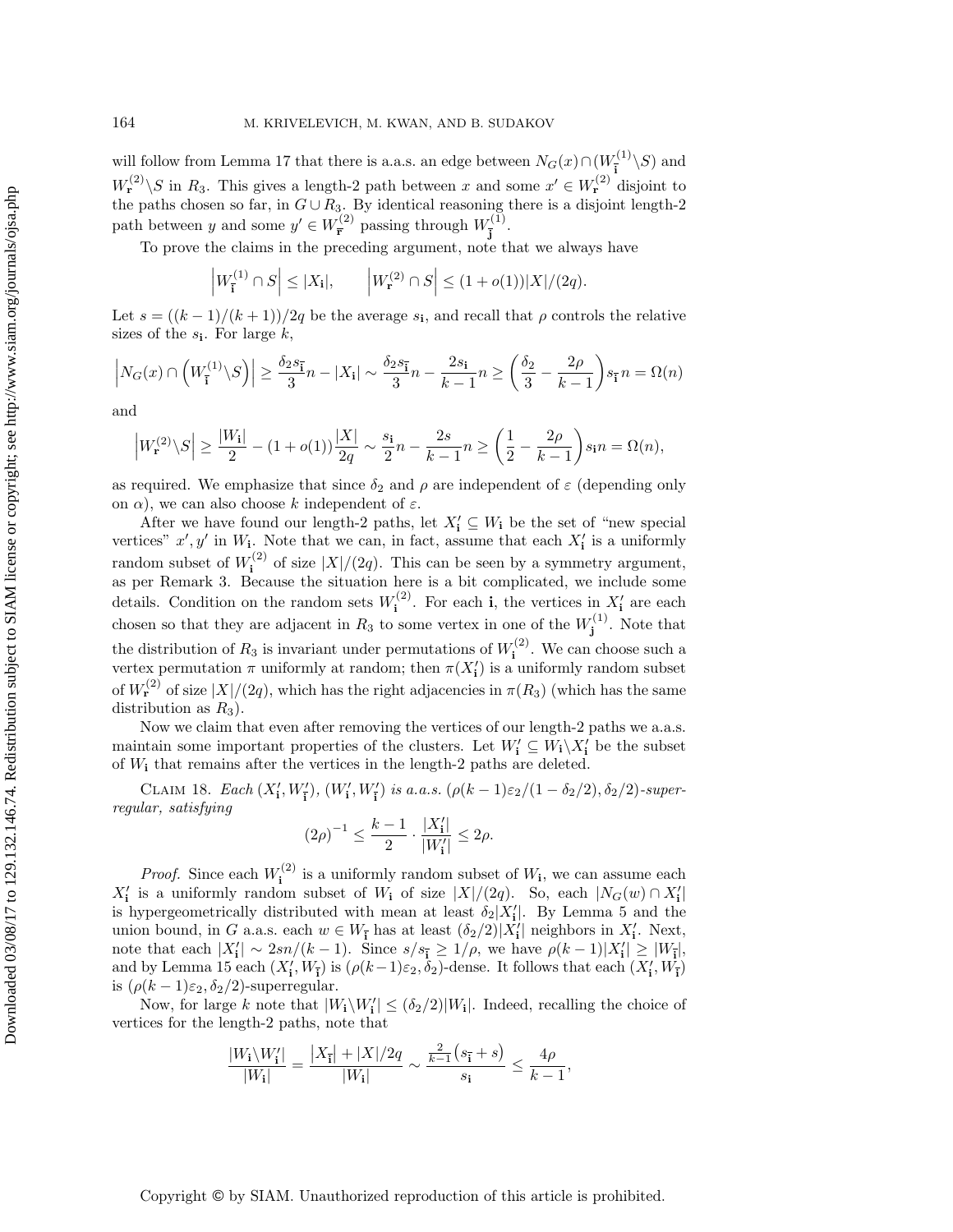will follow from [Lemma 17](#page-8-1) that there is a.a.s. an edge between  $N_G(x) \cap (W_{\overline{s}}^{(1)})$  $\frac{1}{\mathbf{i}}^{(1)} \setminus S$  and  $W_{\mathbf{r}}^{(2)} \backslash S$  in  $R_3$ . This gives a length-2 path between x and some  $x' \in W_{\mathbf{r}}^{(2)}$  disjoint to the paths chosen so far, in  $G \cup R_3$ . By identical reasoning there is a disjoint length-2 path between y and some  $y' \in W_{\overline{r}}^{(2)}$  $\frac{F^{(2)}}{\bar{r}}$  passing through  $W_{\bar{i}}^{(1)}$ .<sup>(1)</sup>.<br>j

To prove the claims in the preceding argument, note that we always have

$$
\left|W_{\overline{\mathbf{i}}}^{(1)} \cap S\right| \leq |X_{\mathbf{i}}|, \qquad \left|W_{\mathbf{r}}^{(2)} \cap S\right| \leq (1 + o(1))|X|/(2q).
$$

Let  $s = ((k-1)/(k+1))/2q$  be the average  $s_i$ , and recall that  $\rho$  controls the relative sizes of the  $s_i$ . For large  $k$ ,

$$
\left|N_G(x) \cap \left(W_{\overline{\mathbf{i}}}^{(1)} \backslash S\right)\right| \ge \frac{\delta_2 s_{\overline{\mathbf{i}}} n - |X_{\mathbf{i}}| \sim \frac{\delta_2 s_{\overline{\mathbf{i}}} n - \frac{2s_{\mathbf{i}}}{3} n - \frac{2s_{\mathbf{i}}}{k-1} n \ge \left(\frac{\delta_2}{3} - \frac{2\rho}{k-1}\right) s_{\overline{\mathbf{i}}} n = \Omega(n)
$$

and

$$
\left|W_{\mathbf{r}}^{(2)}\backslash S\right| \ge \frac{|W_{\mathbf{i}}|}{2} - (1+o(1))\frac{|X|}{2q} \sim \frac{s_{\mathbf{i}}}{2}n - \frac{2s}{k-1}n \ge \left(\frac{1}{2} - \frac{2\rho}{k-1}\right)s_{\mathbf{i}}n = \Omega(n),
$$

as required. We emphasize that since  $\delta_2$  and  $\rho$  are independent of  $\varepsilon$  (depending only on  $\alpha$ ), we can also choose k independent of  $\varepsilon$ .

After we have found our length-2 paths, let  $X'_i \subseteq W_i$  be the set of "new special vertices"  $x', y'$  in  $W_i$ . Note that we can, in fact, assume that each  $X'_i$  is a uniformly random subset of  $W^{(2)}_i$  $i^{(2)}$  of size  $|X|/(2q)$ . This can be seen by a symmetry argument, as per [Remark 3.](#page-2-1) Because the situation here is a bit complicated, we include some details. Condition on the random sets  $W_i^{(2)}$  $i^{(2)}$ . For each **i**, the vertices in  $X'_i$  are each chosen so that they are adjacent in  $R_3$  to some vertex in one of the  $W_i^{(1)}$  $j^{(1)}$ . Note that the distribution of  $R_3$  is invariant under permutations of  $W_i^{(2)}$  $i^{(2)}$ . We can choose such a vertex permutation  $\pi$  uniformly at random; then  $\pi(X'_{\mathbf{i}})$  is a uniformly random subset of  $W_{\mathbf{r}}^{(2)}$  of size  $|X|/(2q)$ , which has the right adjacencies in  $\pi(R_3)$  (which has the same distribution as  $R_3$ ).

Now we claim that even after removing the vertices of our length-2 paths we a.a.s. maintain some important properties of the clusters. Let  $W'_i \subseteq W_i \backslash X'_i$  be the subset of  $W_i$  that remains after the vertices in the length-2 paths are deleted.

CLAIM 18. Each  $(X'_{\mathbf{i}}, W'_{\mathbf{i}})$ ,  $(W'_{\mathbf{i}}, W'_{\mathbf{i}})$  is a.a.s.  $(\rho(k-1)\varepsilon_2/(1-\delta_2/2), \delta_2/2)$ -superregular, satisfying

<span id="page-9-0"></span>
$$
(2\rho)^{-1} \leq \frac{k-1}{2} \cdot \frac{|X'_i|}{|W'_i|} \leq 2\rho.
$$

*Proof.* Since each  $W_i^{(2)}$  $i^{(2)}$  is a uniformly random subset of  $W_i$ , we can assume each  $X'_{\mathbf{i}}$  is a uniformly random subset of  $W_{\mathbf{i}}$  of size  $|X|/(2q)$ . So, each  $|N_G(w) \cap X'_{\mathbf{i}}|$ is hypergeometrically distributed with mean at least  $\delta_2|X'_i|$ . By [Lemma 5](#page-2-2) and the union bound, in G a.a.s. each  $w \in W_{\mathbf{I}}$  has at least  $(\delta_2/2)|X'_{\mathbf{I}}|$  neighbors in  $X'_{\mathbf{I}}$ . Next, note that each  $|X'_i| \sim 2sn/(k-1)$ . Since  $s/s_{\mathbf{i}} \geq 1/\rho$ , we have  $\rho(k-1)|X'_i| \geq |W_{\mathbf{i}}|$ , and by [Lemma 15](#page-7-1) each  $(X'_i, W_{\overline{i}})$  is  $(\rho(k-1)\varepsilon_2, \delta_2)$ -dense. It follows that each  $(X'_i, W_{\overline{i}})$ is  $(\rho(k-1)\varepsilon_2, \delta_2/2)$ -superregular.

Now, for large k note that  $|W_i \backslash W'_i| \le (\delta_2/2)|W_i|$ . Indeed, recalling the choice of vertices for the length-2 paths, note that

$$
\frac{|W_{\mathbf{i}}\backslash W'_{\mathbf{i}}|}{|W_{\mathbf{i}}|} = \frac{|X_{\bar{\mathbf{i}}}| + |X|/2q}{|W_{\mathbf{i}}|} \sim \frac{\frac{2}{k-1}(s_{\bar{\mathbf{i}}} + s)}{s_{\mathbf{i}}} \le \frac{4\rho}{k-1},
$$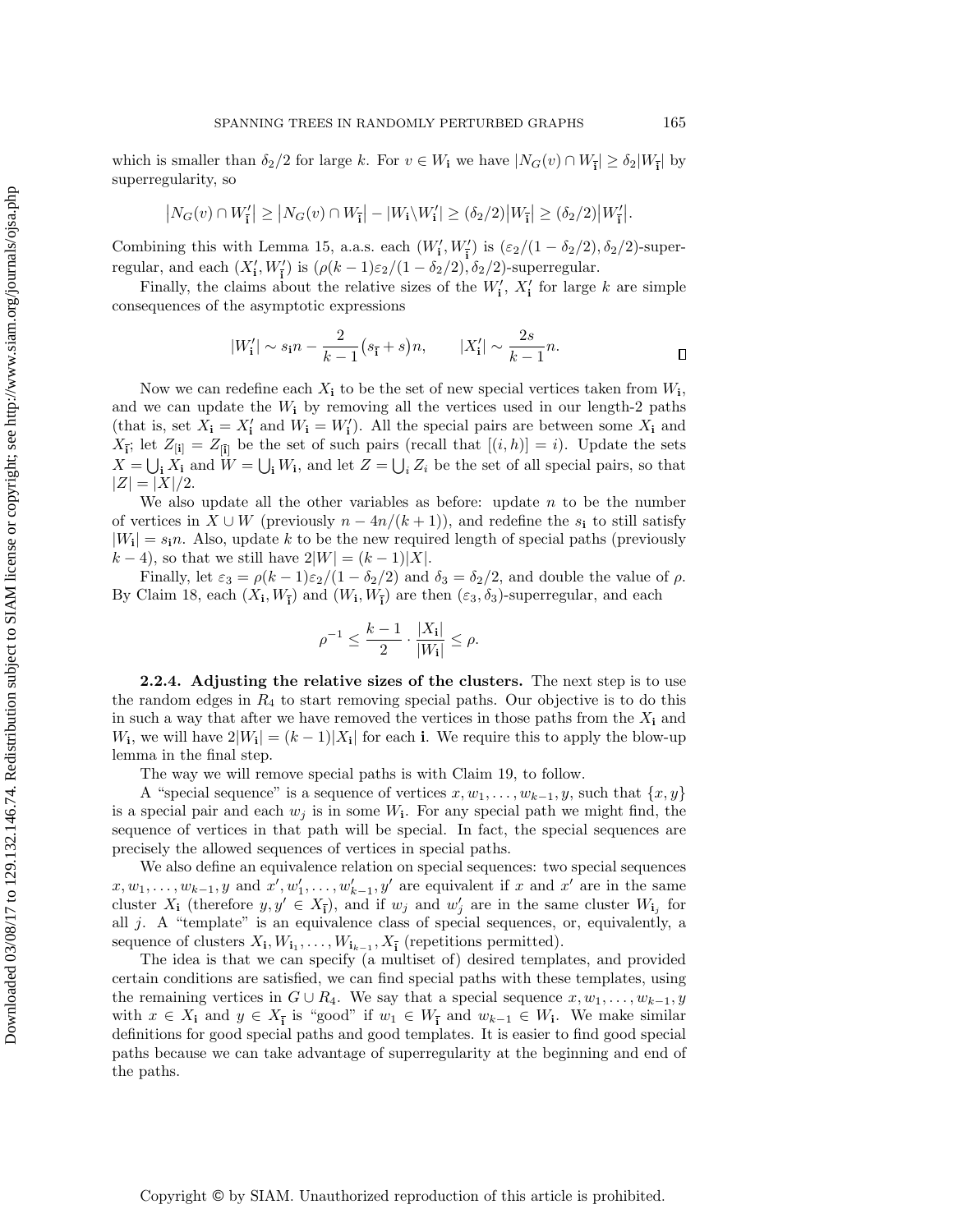which is smaller than  $\delta_2/2$  for large k. For  $v \in W_1$  we have  $|N_G(v) \cap W_{\overline{i}}| \geq \delta_2 |W_{\overline{i}}|$  by superregularity, so

$$
\big|N_G(v)\cap W'_{\overline{\mathbf{i}}}\big|\geq \big|N_G(v)\cap W_{\overline{\mathbf{i}}}\big|-\big|W_{\mathbf{i}}\backslash W'_{\mathbf{i}}\big|\geq (\delta_2/2)\big|W_{\overline{\mathbf{i}}}\big|\geq (\delta_2/2)\big|W'_{\overline{\mathbf{i}}}\big|.
$$

Combining this with [Lemma 15,](#page-7-1) a.a.s. each  $(W'_1, W'_1)$  is  $(\varepsilon_2/(1 - \delta_2/2), \delta_2/2)$ -superregular, and each  $(X'_i, W'_{\overline{i}})$  is  $(\rho(k-1)\varepsilon_2/(1-\delta_2/2), \delta_2/2)$ -superregular.

Finally, the claims about the relative sizes of the  $W'_i$ ,  $X'_i$  for large k are simple consequences of the asymptotic expressions

$$
|W'_i| \sim s_i n - \frac{2}{k-1} (s_{\bar{i}} + s) n,
$$
  $|X'_i| \sim \frac{2s}{k-1} n.$ 

Now we can redefine each  $X_i$  to be the set of new special vertices taken from  $W_i$ , and we can update the  $W_i$  by removing all the vertices used in our length-2 paths (that is, set  $X_i = X'_i$  and  $W_i = W'_i$ ). All the special pairs are between some  $X_i$  and  $X_{\mathbf{i}}$ ; let  $Z_{\mathbf{[i]}} = Z_{\mathbf{[i]}}$  be the set of such pairs (recall that  $[(i, h)] = i$ ). Update the sets  $X = \bigcup_i X_i$  and  $W = \bigcup_i W_i$ , and let  $Z = \bigcup_i Z_i$  be the set of all special pairs, so that  $|Z| = |X|/2.$ 

We also update all the other variables as before: update  $n$  to be the number of vertices in  $X \cup W$  (previously  $n - 4n/(k+1)$ ), and redefine the  $s_i$  to still satisfy  $|W_1| = s_1 n$ . Also, update k to be the new required length of special paths (previously  $(k-4)$ , so that we still have  $2|W| = (k-1)|X|$ .

Finally, let  $\varepsilon_3 = \rho(k-1)\varepsilon_2/(1-\delta_2/2)$  and  $\delta_3 = \delta_2/2$ , and double the value of  $\rho$ . By [Claim 18,](#page-9-0) each  $(X_i, W_{\overline{i}})$  and  $(W_i, W_{\overline{i}})$  are then  $(\varepsilon_3, \delta_3)$ -superregular, and each

$$
\rho^{-1} \le \frac{k-1}{2} \cdot \frac{|X_i|}{|W_i|} \le \rho.
$$

<span id="page-10-0"></span>2.2.4. Adjusting the relative sizes of the clusters. The next step is to use the random edges in  $R_4$  to start removing special paths. Our objective is to do this in such a way that after we have removed the vertices in those paths from the  $X_i$  and  $W_i$ , we will have  $2|W_i| = (k-1)|X_i|$  for each i. We require this to apply the blow-up lemma in the final step.

The way we will remove special paths is with [Claim 19,](#page-11-0) to follow.

A "special sequence" is a sequence of vertices  $x, w_1, \ldots, w_{k-1}, y$ , such that  $\{x, y\}$ is a special pair and each  $w_j$  is in some  $W_i$ . For any special path we might find, the sequence of vertices in that path will be special. In fact, the special sequences are precisely the allowed sequences of vertices in special paths.

We also define an equivalence relation on special sequences: two special sequences  $x, w_1, \ldots, w_{k-1}, y$  and  $x', w'_1, \ldots, w'_{k-1}, y'$  are equivalent if x and  $x'$  are in the same cluster  $X_i$  (therefore  $y, y' \in X_{\overline{i}}$ ), and if  $w_j$  and  $w'_j$  are in the same cluster  $W_{i_j}$  for all  $j$ . A "template" is an equivalence class of special sequences, or, equivalently, a sequence of clusters  $X_i, W_{i_1}, \ldots, W_{i_{k-1}}, X_{\overline{i}}$  (repetitions permitted).

The idea is that we can specify (a multiset of) desired templates, and provided certain conditions are satisfied, we can find special paths with these templates, using the remaining vertices in  $G \cup R_4$ . We say that a special sequence  $x, w_1, \ldots, w_{k-1}, y$ with  $x \in X_i$  and  $y \in X_{\overline{i}}$  is "good" if  $w_1 \in W_{\overline{i}}$  and  $w_{k-1} \in W_i$ . We make similar definitions for good special paths and good templates. It is easier to find good special paths because we can take advantage of superregularity at the beginning and end of the paths.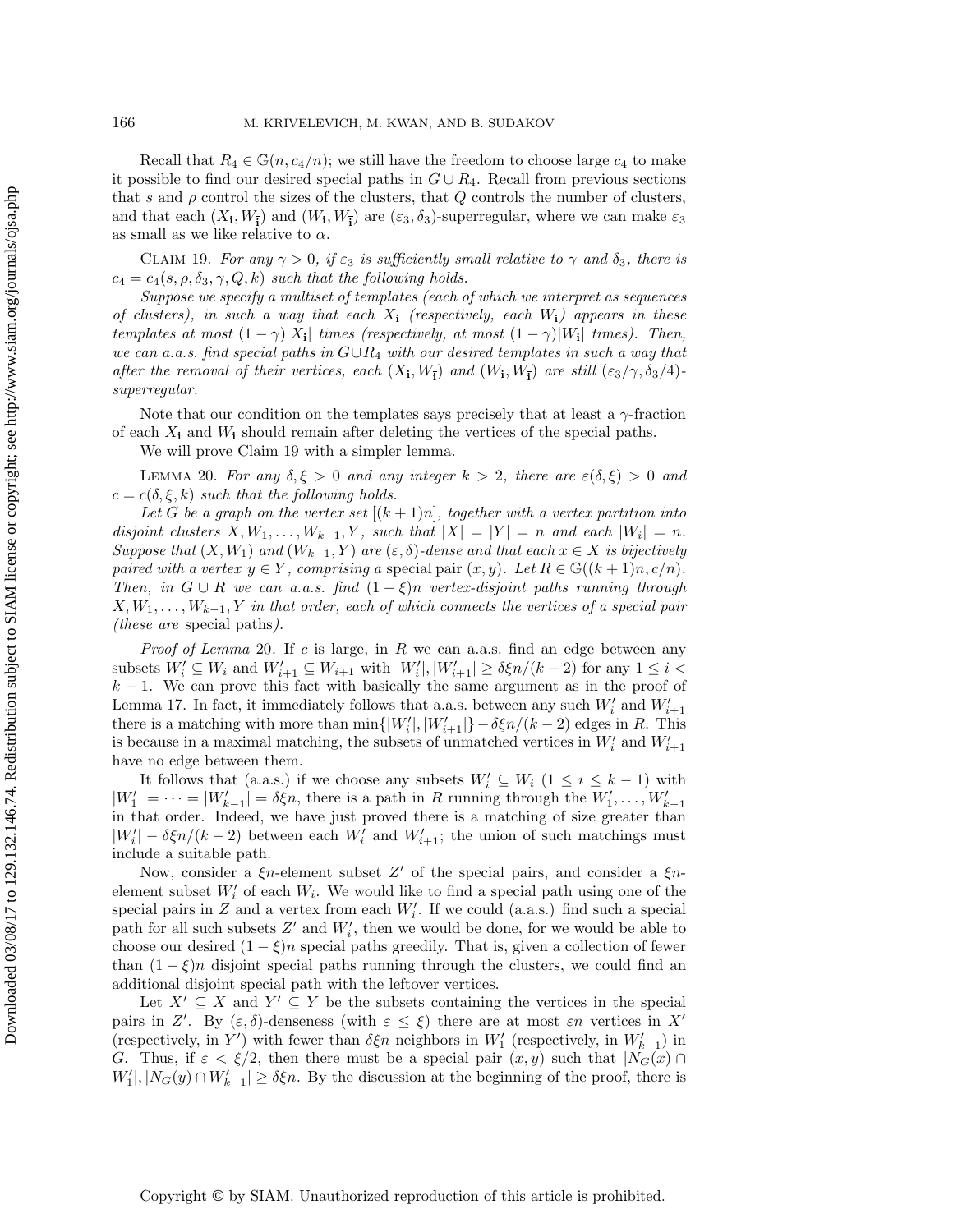Recall that  $R_4 \in \mathbb{G}(n, c_4/n)$ ; we still have the freedom to choose large  $c_4$  to make it possible to find our desired special paths in  $G \cup R_4$ . Recall from previous sections that s and  $\rho$  control the sizes of the clusters, that  $Q$  controls the number of clusters, and that each  $(X_i, W_{\overline{i}})$  and  $(W_i, W_{\overline{i}})$  are  $(\varepsilon_3, \delta_3)$ -superregular, where we can make  $\varepsilon_3$ as small as we like relative to  $\alpha$ .

<span id="page-11-0"></span>CLAIM 19. For any  $\gamma > 0$ , if  $\varepsilon_3$  is sufficiently small relative to  $\gamma$  and  $\delta_3$ , there is  $c_4 = c_4(s, \rho, \delta_3, \gamma, Q, k)$  such that the following holds.

Suppose we specify a multiset of templates (each of which we interpret as sequences of clusters), in such a way that each  $X_i$  (respectively, each  $W_i$ ) appears in these templates at most  $(1 - \gamma)|X_i|$  times (respectively, at most  $(1 - \gamma)|W_i|$  times). Then, we can a.a.s. find special paths in  $G \cup R_4$  with our desired templates in such a way that after the removal of their vertices, each  $(X_i, W_{\overline{i}})$  and  $(W_i, W_{\overline{i}})$  are still  $(\varepsilon_3/\gamma, \delta_3/4)$ superregular.

Note that our condition on the templates says precisely that at least a  $\gamma$ -fraction of each  $X_i$  and  $W_i$  should remain after deleting the vertices of the special paths.

<span id="page-11-1"></span>We will prove [Claim 19](#page-11-0) with a simpler lemma.

LEMMA 20. For any  $\delta, \xi > 0$  and any integer  $k > 2$ , there are  $\varepsilon(\delta, \xi) > 0$  and  $c = c(\delta, \xi, k)$  such that the following holds.

Let G be a graph on the vertex set  $[(k+1)n]$ , together with a vertex partition into disjoint clusters  $X, W_1, \ldots, W_{k-1}, Y$ , such that  $|X| = |Y| = n$  and each  $|W_i| = n$ . Suppose that  $(X, W_1)$  and  $(W_{k-1}, Y)$  are  $(\varepsilon, \delta)$ -dense and that each  $x \in X$  is bijectively paired with a vertex  $y \in Y$ , comprising a special pair  $(x, y)$ . Let  $R \in \mathbb{G}((k+1)n, c/n)$ . Then, in  $G \cup R$  we can a.a.s. find  $(1 - \xi)n$  vertex-disjoint paths running through  $X, W_1, \ldots, W_{k-1}, Y$  in that order, each of which connects the vertices of a special pair (these are special paths).

*Proof of [Lemma](#page-11-1)* 20. If  $c$  is large, in  $R$  we can a.a.s. find an edge between any subsets  $W'_i \subseteq W_i$  and  $W'_{i+1} \subseteq W_{i+1}$  with  $|W'_i|, |W'_{i+1}| \ge \delta \xi n/(k-2)$  for any  $1 \le i <$  $k-1$ . We can prove this fact with basically the same argument as in the proof of [Lemma 17.](#page-8-1) In fact, it immediately follows that a.a.s. between any such  $W_i'$  and  $W_{i+1}'$ there is a matching with more than  $\min\{|W'_i|, |W'_{i+1}|\} - \delta \xi n/(k-2)$  edges in R. This is because in a maximal matching, the subsets of unmatched vertices in  $W_i'$  and  $W_{i+1}'$ have no edge between them.

It follows that (a.a.s.) if we choose any subsets  $W'_i \subseteq W_i$   $(1 \leq i \leq k-1)$  with  $|W'_1| = \cdots = |W'_{k-1}| = \delta \xi n$ , there is a path in R running through the  $W'_1, \ldots, W'_{k-1}$ in that order. Indeed, we have just proved there is a matching of size greater than  $|W'_i| - \delta \xi n/(k-2)$  between each  $W'_i$  and  $W'_{i+1}$ ; the union of such matchings must include a suitable path.

Now, consider a  $\xi$ n-element subset Z' of the special pairs, and consider a  $\xi$ nelement subset  $W_i'$  of each  $W_i$ . We would like to find a special path using one of the special pairs in  $Z$  and a vertex from each  $W_i'$ . If we could (a.a.s.) find such a special path for all such subsets  $Z'$  and  $W'_i$ , then we would be done, for we would be able to choose our desired  $(1 - \xi)n$  special paths greedily. That is, given a collection of fewer than  $(1 - \xi)n$  disjoint special paths running through the clusters, we could find an additional disjoint special path with the leftover vertices.

Let  $X' \subseteq X$  and  $Y' \subseteq Y$  be the subsets containing the vertices in the special pairs in Z'. By  $(\varepsilon, \delta)$ -denseness (with  $\varepsilon \leq \xi$ ) there are at most  $\varepsilon n$  vertices in X' (respectively, in  $Y'$ ) with fewer than  $\delta \xi n$  neighbors in  $W'_1$  (respectively, in  $W'_{k-1}$ ) in G. Thus, if  $\varepsilon < \xi/2$ , then there must be a special pair  $(x, y)$  such that  $|N_G(x) \cap$  $W'_1, |N_G(y) \cap W'_{k-1}| \ge \delta \xi n$ . By the discussion at the beginning of the proof, there is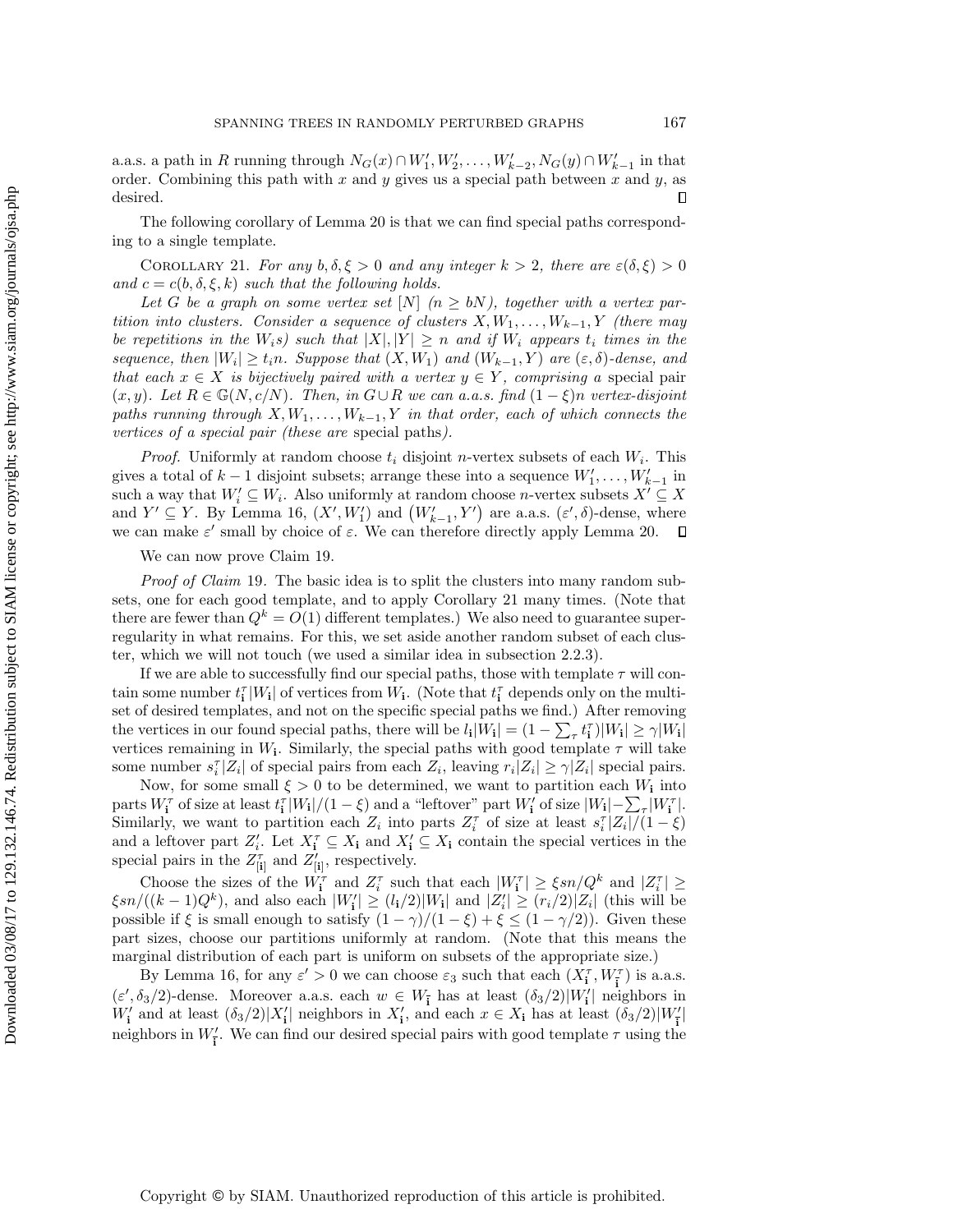a.a.s. a path in R running through  $N_G(x) \cap W'_1, W'_2, \ldots, W'_{k-2}, N_G(y) \cap W'_{k-1}$  in that order. Combining this path with  $x$  and  $y$  gives us a special path between  $x$  and  $y$ , as desired.  $\Box$ 

<span id="page-12-0"></span>The following corollary of [Lemma 20](#page-11-1) is that we can find special paths corresponding to a single template.

COROLLARY 21. For any  $b, \delta, \xi > 0$  and any integer  $k > 2$ , there are  $\varepsilon(\delta, \xi) > 0$ and  $c = c(b, \delta, \xi, k)$  such that the following holds.

Let G be a graph on some vertex set  $[N]$   $(n \geq bN)$ , together with a vertex partition into clusters. Consider a sequence of clusters  $X, W_1, \ldots, W_{k-1}, Y$  (there may be repetitions in the  $W_i$ s) such that  $|X|, |Y| \geq n$  and if  $W_i$  appears  $t_i$  times in the sequence, then  $|W_i| \geq t_i n$ . Suppose that  $(X, W_1)$  and  $(W_{k-1}, Y)$  are  $(\varepsilon, \delta)$ -dense, and that each  $x \in X$  is bijectively paired with a vertex  $y \in Y$ , comprising a special pair  $(x, y)$ . Let  $R \in \mathbb{G}(N, c/N)$ . Then, in  $G \cup R$  we can a.a.s. find  $(1 - \xi)n$  vertex-disjoint paths running through  $X, W_1, \ldots, W_{k-1}, Y$  in that order, each of which connects the vertices of a special pair (these are special paths).

*Proof.* Uniformly at random choose  $t_i$  disjoint *n*-vertex subsets of each  $W_i$ . This gives a total of  $k-1$  disjoint subsets; arrange these into a sequence  $W'_1, \ldots, W'_{k-1}$  in such a way that  $W'_i \subseteq W_i$ . Also uniformly at random choose *n*-vertex subsets  $X' \subseteq X$ and  $Y' \subseteq Y$ . By [Lemma 16,](#page-7-0)  $(X', W'_1)$  and  $(W'_{k-1}, Y')$  are a.a.s.  $(\varepsilon', \delta)$ -dense, where we can make  $\varepsilon'$  small by choice of  $\varepsilon$ . We can therefore directly apply [Lemma 20.](#page-11-1)

We can now prove [Claim 19.](#page-11-0)

Proof of [Claim](#page-11-0) 19. The basic idea is to split the clusters into many random subsets, one for each good template, and to apply [Corollary 21](#page-12-0) many times. (Note that there are fewer than  $Q^k = O(1)$  different templates.) We also need to guarantee superregularity in what remains. For this, we set aside another random subset of each cluster, which we will not touch (we used a similar idea in [subsection 2.2.3\)](#page-8-0).

If we are able to successfully find our special paths, those with template  $\tau$  will contain some number  $t_i^{\tau} |W_i|$  of vertices from  $W_i$ . (Note that  $t_i^{\tau}$  depends only on the multiset of desired templates, and not on the specific special paths we find.) After removing the vertices in our found special paths, there will be  $l_i|W_i| = (1 - \sum_{\tau} t_i^{\tau})|W_i| \ge \gamma |W_i|$ vertices remaining in  $W_i$ . Similarly, the special paths with good template  $\tau$  will take some number  $s_i^{\tau} |Z_i|$  of special pairs from each  $Z_i$ , leaving  $r_i |Z_i| \geq \gamma |Z_i|$  special pairs.

Now, for some small  $\xi > 0$  to be determined, we want to partition each  $W_i$  into parts  $W_{\mathbf{i}}^{\tau}$  of size at least  $t_{\mathbf{i}}^{\tau}|W_{\mathbf{i}}|/(1-\xi)$  and a "leftover" part  $W_{\mathbf{i}}'$  of size  $|W_{\mathbf{i}}|-\sum_{\tau}|W_{\mathbf{i}}^{\tau}|$ . Similarly, we want to partition each  $Z_i$  into parts  $Z_i^{\tau}$  of size at least  $s_i^{\tau} |Z_i|/(1-\xi)$ and a leftover part  $Z_i'$ . Let  $X_i^{\tau} \subseteq X_i$  and  $X_i' \subseteq X_i$  contain the special vertices in the special pairs in the  $Z_{[i]}^{\tau}$  and  $Z_{[i]}^{\prime}$ , respectively.

Choose the sizes of the  $W_i^{\tau}$  and  $Z_i^{\tau}$  such that each  $|W_i^{\tau}| \geq \xi sn/Q^k$  and  $|Z_i^{\tau}| \geq$  $\frac{\xi sn}{((k-1)Q^k)}$ , and also each  $|W'_i| \ge (l_i/2)|W_i|$  and  $|Z'_i| \ge (r_i/2)|Z_i|$  (this will be possible if  $\xi$  is small enough to satisfy  $(1 - \gamma)/(1 - \xi) + \xi \leq (1 - \gamma/2)$ . Given these part sizes, choose our partitions uniformly at random. (Note that this means the marginal distribution of each part is uniform on subsets of the appropriate size.)

By [Lemma 16,](#page-7-0) for any  $\varepsilon' > 0$  we can choose  $\varepsilon_3$  such that each  $(X_{\mathbf{i}}^{\tau},W_{\mathbf{i}}^{\tau})$  is a.a.s.  $(\varepsilon', \delta_3/2)$ -dense. Moreover a.a.s. each  $w \in W_{\mathbf{I}}$  has at least  $(\delta_3/2)|W'_{\mathbf{I}}|$  neighbors in  $W'_{\mathbf{i}}$  and at least  $(\delta_3/2)|X'_{\mathbf{i}}|$  neighbors in  $X'_{\mathbf{i}}$ , and each  $x \in X_{\mathbf{i}}$  has at least  $(\delta_3/2)|W'_{\mathbf{i}}|$ neighbors in  $W'_{\vec{i}}$ . We can find our desired special pairs with good template  $\tau$  using the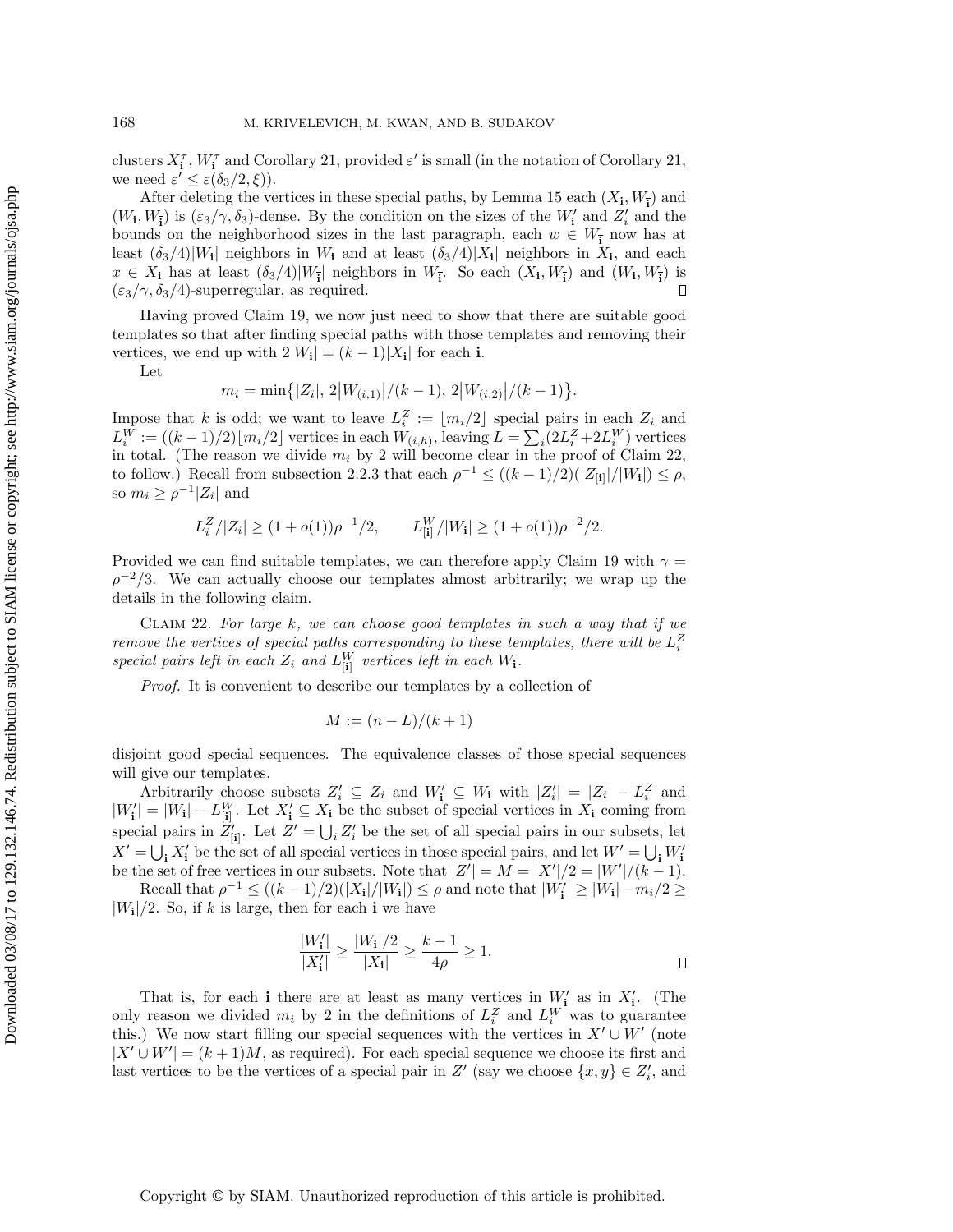clusters  $X_i^{\tau}$ ,  $W_i^{\tau}$  and [Corollary 21,](#page-12-0) provided  $\varepsilon'$  is small (in the notation of Corollary 21, we need  $\varepsilon' \leq \varepsilon(\delta_3/2, \xi)$ ).

After deleting the vertices in these special paths, by [Lemma 15](#page-7-1) each  $(X_i, W_{\overline{i}})$  and  $(W_1, W_{\overline{1}})$  is  $(\varepsilon_3/\gamma, \delta_3)$ -dense. By the condition on the sizes of the  $W'_1$  and  $Z'_i$  and the bounds on the neighborhood sizes in the last paragraph, each  $w \in W_{\overline{\mathbf{i}}}$  now has at least  $(\delta_3/4)|W_i|$  neighbors in  $W_i$  and at least  $(\delta_3/4)|X_i|$  neighbors in  $X_i$ , and each  $x \in X_i$  has at least  $(\delta_3/4)|W_{\bar{i}}|$  neighbors in  $W_{\bar{i}}$ . So each  $(X_i, W_{\bar{i}})$  and  $(W_i, W_{\bar{i}})$  is  $\Box$  $(\epsilon_3/\gamma, \delta_3/4)$ -superregular, as required.

Having proved [Claim 19,](#page-11-0) we now just need to show that there are suitable good templates so that after finding special paths with those templates and removing their vertices, we end up with  $2|W_i| = (k-1)|X_i|$  for each i.

Let

$$
m_i = \min\{|Z_i|, 2|W_{(i,1)}|/(k-1), 2|W_{(i,2)}|/(k-1)\}.
$$

Impose that k is odd; we want to leave  $L_i^Z := \lfloor m_i/2 \rfloor$  special pairs in each  $Z_i$  and  $L_i^W := ((k-1)/2) \lfloor m_i/2 \rfloor$  vertices in each  $W_{(i,h)}$ , leaving  $L = \sum_i (2L_i^Z + 2L_i^W)$  vertices in total. (The reason we divide  $m_i$  by 2 will become clear in the proof of [Claim 22,](#page-13-0) to follow.) Recall from [subsection 2.2.3](#page-8-0) that each  $\rho^{-1} \leq ((k-1)/2)(|Z_{[i]}|/|W_i|) \leq \rho$ , so  $m_i \geq \rho^{-1} |Z_i|$  and

$$
L_i^Z/|Z_i| \ge (1+o(1))\rho^{-1}/2, \qquad L_{[i]}^W/|W_i| \ge (1+o(1))\rho^{-2}/2.
$$

Provided we can find suitable templates, we can therefore apply [Claim 19](#page-11-0) with  $\gamma =$  $\rho^{-2}/3$ . We can actually choose our templates almost arbitrarily; we wrap up the details in the following claim.

CLAIM 22. For large  $k$ , we can choose good templates in such a way that if we remove the vertices of special paths corresponding to these templates, there will be  $L_i^Z$ special pairs left in each  $Z_i$  and  $L_{[i]}^W$  vertices left in each  $W_i$ .

Proof. It is convenient to describe our templates by a collection of

<span id="page-13-0"></span>
$$
M := (n - L)/(k + 1)
$$

disjoint good special sequences. The equivalence classes of those special sequences will give our templates.

Arbitrarily choose subsets  $Z'_i \subseteq Z_i$  and  $W'_i \subseteq W_i$  with  $|Z'_i| = |Z_i| - L_i^Z$  and  $|W'_i| = |W_i| - L_{[i]}^W$ . Let  $X'_i \subseteq X_i$  be the subset of special vertices in  $X_i$  coming from special pairs in  $Z'_{[i]}$ . Let  $Z' = \bigcup_i Z'_i$  be the set of all special pairs in our subsets, let  $X' = \bigcup_i X'_i$  be the set of all special vertices in those special pairs, and let  $W' = \bigcup_i W'_i$ be the set of free vertices in our subsets. Note that  $|Z'| = M = |X'|/2 = |W'|/(k-1)$ .

Recall that  $\rho^{-1} \leq ((k-1)/2)(|X_{\mathbf{i}}|/|W_{\mathbf{i}}|) \leq \rho$  and note that  $|W'_{\mathbf{i}}| \geq |W_{\mathbf{i}}| - m_i/2 \geq$  $|W_{\mathbf{i}}|/2$ . So, if k is large, then for each **i** we have

$$
\frac{|W'_i|}{|X'_i|} \ge \frac{|W_i|/2}{|X_i|} \ge \frac{k-1}{4\rho} \ge 1.
$$

That is, for each i there are at least as many vertices in  $W'_{i}$  as in  $X'_{i}$ . (The only reason we divided  $m_i$  by 2 in the definitions of  $L_i^Z$  and  $L_i^W$  was to guarantee this.) We now start filling our special sequences with the vertices in  $X' \cup W'$  (note  $|X' \cup W'| = (k+1)M$ , as required). For each special sequence we choose its first and last vertices to be the vertices of a special pair in  $Z'$  (say we choose  $\{x, y\} \in Z'_i$ , and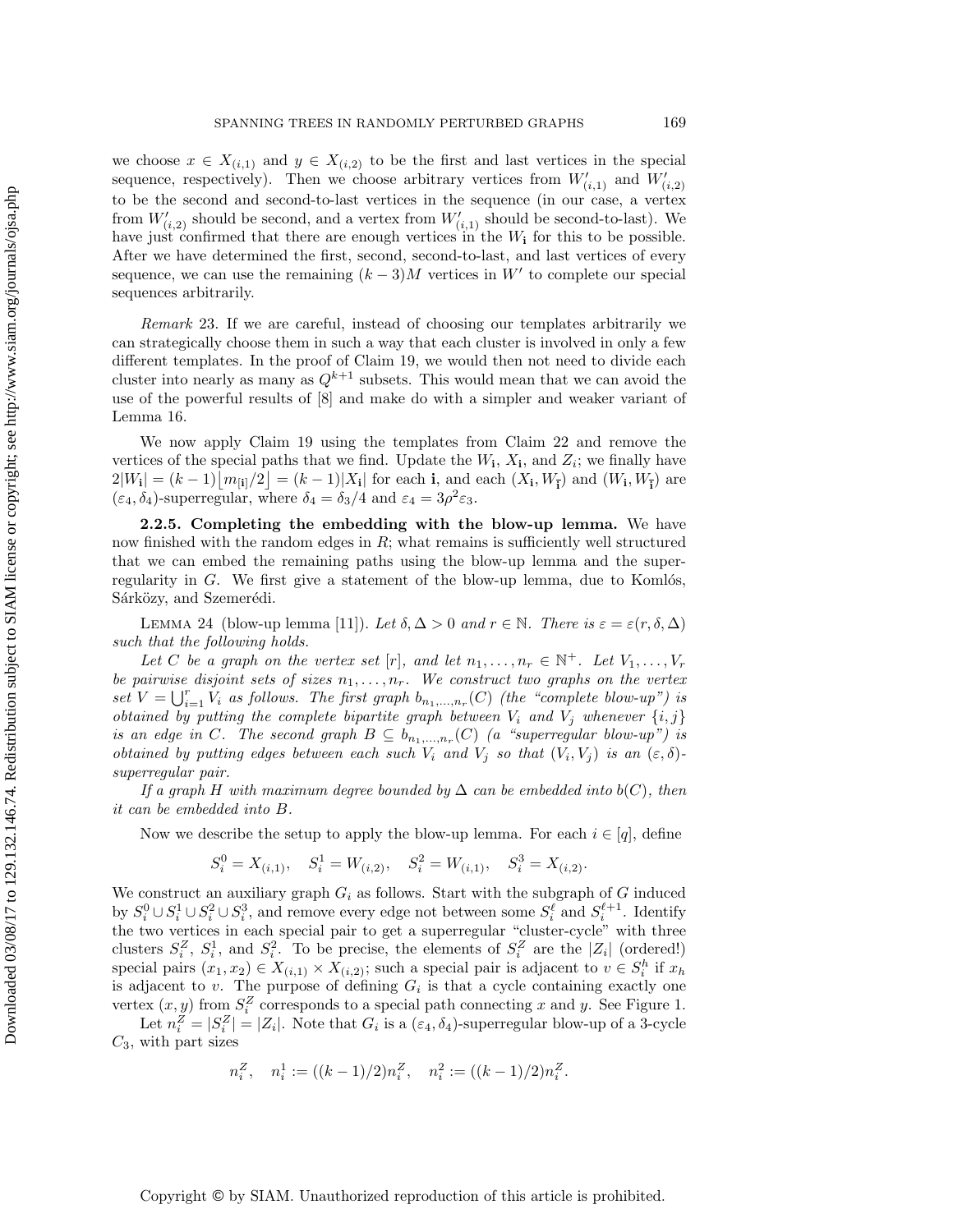we choose  $x \in X_{(i,1)}$  and  $y \in X_{(i,2)}$  to be the first and last vertices in the special sequence, respectively). Then we choose arbitrary vertices from  $W'_{(i,1)}$  and  $W'_{(i,2)}$ to be the second and second-to-last vertices in the sequence (in our case, a vertex from  $W'_{(i,2)}$  should be second, and a vertex from  $W'_{(i,1)}$  should be second-to-last). We have just confirmed that there are enough vertices in the  $W_i$  for this to be possible. After we have determined the first, second, second-to-last, and last vertices of every sequence, we can use the remaining  $(k-3)M$  vertices in W' to complete our special sequences arbitrarily.

Remark 23. If we are careful, instead of choosing our templates arbitrarily we can strategically choose them in such a way that each cluster is involved in only a few different templates. In the proof of [Claim 19,](#page-11-0) we would then not need to divide each cluster into nearly as many as  $Q^{k+1}$  subsets. This would mean that we can avoid the use of the powerful results of [\[8\]](#page-16-18) and make do with a simpler and weaker variant of [Lemma 16.](#page-7-0)

We now apply [Claim 19](#page-11-0) using the templates from [Claim 22](#page-13-0) and remove the vertices of the special paths that we find. Update the  $W_i$ ,  $X_i$ , and  $Z_i$ ; we finally have  $2|W_{\bf i}| = (k-1)\left[m_{\bf ii}/2\right] = (k-1)|X_{\bf i}|$  for each **i**, and each  $(X_{\bf i}, W_{\bf i})$  and  $(W_{\bf i}, W_{\bf i})$  are  $(\varepsilon_4, \delta_4)$ -superregular, where  $\delta_4 = \delta_3/4$  and  $\varepsilon_4 = 3\rho^2 \varepsilon_3$ .

<span id="page-14-0"></span>2.2.5. Completing the embedding with the blow-up lemma. We have now finished with the random edges in  $R$ ; what remains is sufficiently well structured that we can embed the remaining paths using the blow-up lemma and the superregularity in  $G$ . We first give a statement of the blow-up lemma, due to Komlós, Sárközy, and Szemerédi.

LEMMA 24 (blow-up lemma [\[11\]](#page-16-19)). Let  $\delta, \Delta > 0$  and  $r \in \mathbb{N}$ . There is  $\varepsilon = \varepsilon(r, \delta, \Delta)$ such that the following holds.

Let C be a graph on the vertex set [r], and let  $n_1, \ldots, n_r \in \mathbb{N}^+$ . Let  $V_1, \ldots, V_r$ be pairwise disjoint sets of sizes  $n_1, \ldots, n_r$ . We construct two graphs on the vertex set  $V = \bigcup_{i=1}^r V_i$  as follows. The first graph  $b_{n_1,...,n_r}(C)$  (the "complete blow-up") is obtained by putting the complete bipartite graph between  $V_i$  and  $V_j$  whenever  $\{i, j\}$ is an edge in C. The second graph  $B \subseteq b_{n_1,...,n_r}(C)$  (a "superregular blow-up") is obtained by putting edges between each such  $V_i$  and  $V_j$  so that  $(V_i, V_j)$  is an  $(\varepsilon, \delta)$ superregular pair.

If a graph H with maximum degree bounded by  $\Delta$  can be embedded into b(C), then it can be embedded into B.

Now we describe the setup to apply the blow-up lemma. For each  $i \in [q]$ , define

$$
S_i^0 = X_{(i,1)}, \quad S_i^1 = W_{(i,2)}, \quad S_i^2 = W_{(i,1)}, \quad S_i^3 = X_{(i,2)}.
$$

We construct an auxiliary graph  $G_i$  as follows. Start with the subgraph of  $G$  induced by  $S_i^0 \cup S_i^1 \cup S_i^2 \cup S_i^3$ , and remove every edge not between some  $S_i^{\ell}$  and  $S_i^{\ell+1}$ . Identify the two vertices in each special pair to get a superregular "cluster-cycle" with three clusters  $S_i^Z$ ,  $S_i^1$ , and  $S_i^2$ . To be precise, the elements of  $S_i^Z$  are the  $|Z_i|$  (ordered!) special pairs  $(x_1, x_2) \in X_{(i,1)} \times X_{(i,2)}$ ; such a special pair is adjacent to  $v \in S_i^h$  if  $x_h$ is adjacent to  $v$ . The purpose of defining  $G_i$  is that a cycle containing exactly one vertex  $(x, y)$  from  $S_i^Z$  corresponds to a special path connecting x and y. See [Figure 1.](#page-15-0)

Let  $n_i^Z = |S_i^Z| = |Z_i|$ . Note that  $G_i$  is a  $(\varepsilon_4, \delta_4)$ -superregular blow-up of a 3-cycle  $C_3$ , with part sizes

$$
n_i^Z
$$
,  $n_i^1 := ((k-1)/2)n_i^Z$ ,  $n_i^2 := ((k-1)/2)n_i^Z$ .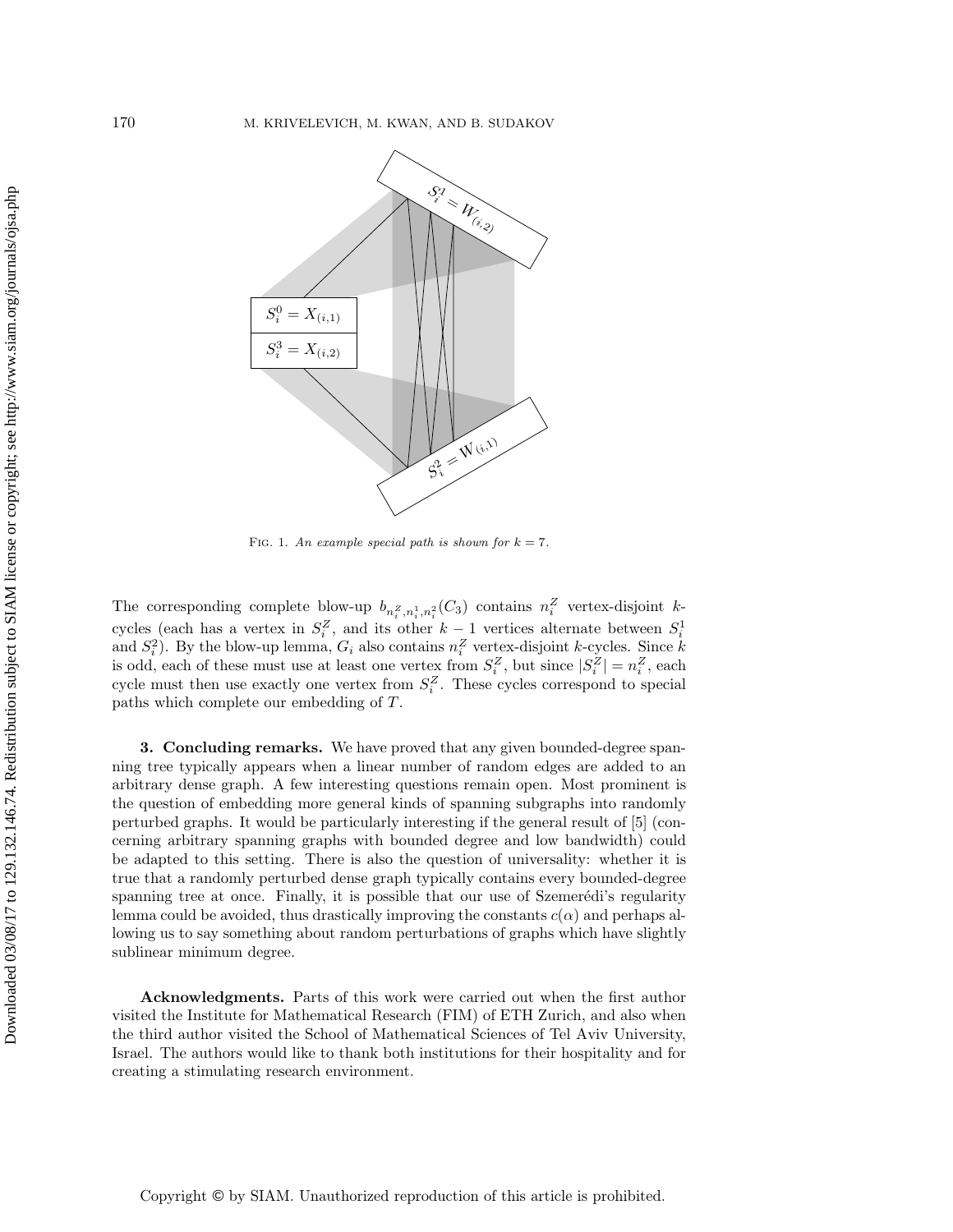<span id="page-15-0"></span>

FIG. 1. An example special path is shown for  $k = 7$ .

The corresponding complete blow-up  $b_{n_i^Z,n_i^1,n_i^2}(C_3)$  contains  $n_i^Z$  vertex-disjoint kcycles (each has a vertex in  $S_i^Z$ , and its other  $k-1$  vertices alternate between  $S_i^1$ and  $S_i^2$ ). By the blow-up lemma,  $G_i$  also contains  $n_i^Z$  vertex-disjoint k-cycles. Since k is odd, each of these must use at least one vertex from  $S_i^Z$ , but since  $|S_i^Z| = n_i^Z$ , each cycle must then use exactly one vertex from  $S_i^Z$ . These cycles correspond to special paths which complete our embedding of T.

3. Concluding remarks. We have proved that any given bounded-degree spanning tree typically appears when a linear number of random edges are added to an arbitrary dense graph. A few interesting questions remain open. Most prominent is the question of embedding more general kinds of spanning subgraphs into randomly perturbed graphs. It would be particularly interesting if the general result of [\[5\]](#page-16-3) (concerning arbitrary spanning graphs with bounded degree and low bandwidth) could be adapted to this setting. There is also the question of universality: whether it is true that a randomly perturbed dense graph typically contains every bounded-degree spanning tree at once. Finally, it is possible that our use of Szemerédi's regularity lemma could be avoided, thus drastically improving the constants  $c(\alpha)$  and perhaps allowing us to say something about random perturbations of graphs which have slightly sublinear minimum degree.

Acknowledgments. Parts of this work were carried out when the first author visited the Institute for Mathematical Research (FIM) of ETH Zurich, and also when the third author visited the School of Mathematical Sciences of Tel Aviv University, Israel. The authors would like to thank both institutions for their hospitality and for creating a stimulating research environment.

Copyright © by SIAM. Unauthorized reproduction of this article is prohibited.